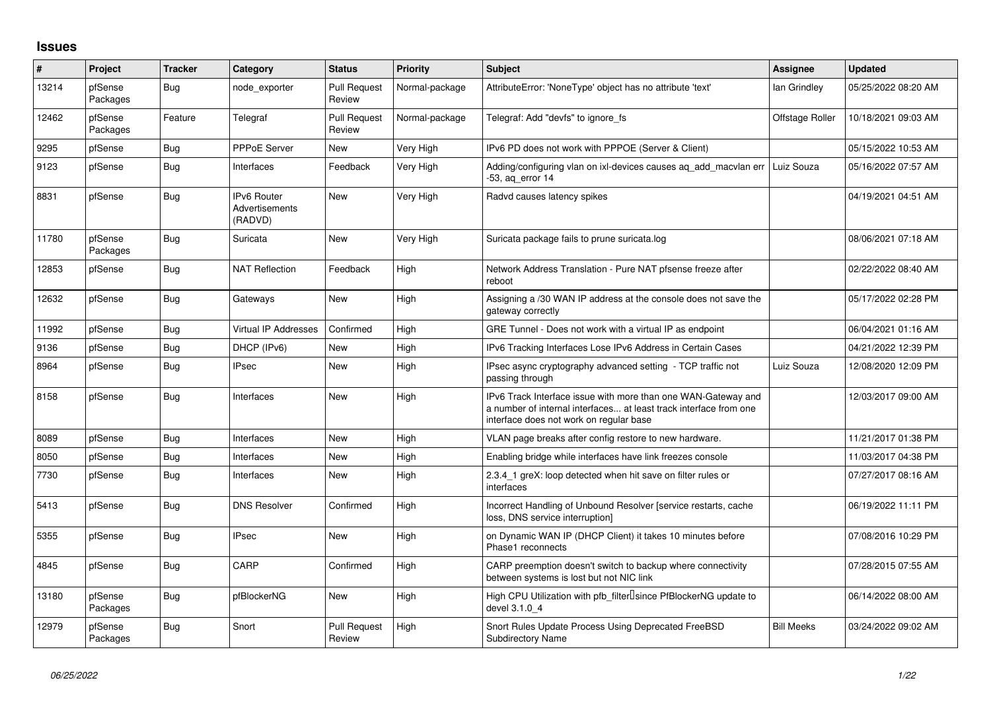## **Issues**

| #     | Project             | <b>Tracker</b> | Category                                        | <b>Status</b>                 | <b>Priority</b> | <b>Subject</b>                                                                                                                                                                | Assignee          | <b>Updated</b>      |
|-------|---------------------|----------------|-------------------------------------------------|-------------------------------|-----------------|-------------------------------------------------------------------------------------------------------------------------------------------------------------------------------|-------------------|---------------------|
| 13214 | pfSense<br>Packages | Bug            | node exporter                                   | <b>Pull Request</b><br>Review | Normal-package  | AttributeError: 'NoneType' object has no attribute 'text'                                                                                                                     | lan Grindley      | 05/25/2022 08:20 AM |
| 12462 | pfSense<br>Packages | Feature        | Telegraf                                        | <b>Pull Request</b><br>Review | Normal-package  | Telegraf: Add "devfs" to ignore_fs                                                                                                                                            | Offstage Roller   | 10/18/2021 09:03 AM |
| 9295  | pfSense             | <b>Bug</b>     | PPPoE Server                                    | <b>New</b>                    | Very High       | IPv6 PD does not work with PPPOE (Server & Client)                                                                                                                            |                   | 05/15/2022 10:53 AM |
| 9123  | pfSense             | Bug            | Interfaces                                      | Feedback                      | Very High       | Adding/configuring vlan on ixl-devices causes ag add macvlan err  <br>-53, ag error 14                                                                                        | Luiz Souza        | 05/16/2022 07:57 AM |
| 8831  | pfSense             | Bug            | <b>IPv6 Router</b><br>Advertisements<br>(RADVD) | <b>New</b>                    | Very High       | Radvd causes latency spikes                                                                                                                                                   |                   | 04/19/2021 04:51 AM |
| 11780 | pfSense<br>Packages | Bug            | Suricata                                        | <b>New</b>                    | Very High       | Suricata package fails to prune suricata.log                                                                                                                                  |                   | 08/06/2021 07:18 AM |
| 12853 | pfSense             | Bug            | <b>NAT Reflection</b>                           | Feedback                      | High            | Network Address Translation - Pure NAT pfsense freeze after<br>reboot                                                                                                         |                   | 02/22/2022 08:40 AM |
| 12632 | pfSense             | <b>Bug</b>     | Gateways                                        | <b>New</b>                    | High            | Assigning a /30 WAN IP address at the console does not save the<br>gateway correctly                                                                                          |                   | 05/17/2022 02:28 PM |
| 11992 | pfSense             | Bug            | Virtual IP Addresses                            | Confirmed                     | High            | GRE Tunnel - Does not work with a virtual IP as endpoint                                                                                                                      |                   | 06/04/2021 01:16 AM |
| 9136  | pfSense             | Bug            | DHCP (IPv6)                                     | <b>New</b>                    | High            | IPv6 Tracking Interfaces Lose IPv6 Address in Certain Cases                                                                                                                   |                   | 04/21/2022 12:39 PM |
| 8964  | pfSense             | Bug            | <b>IPsec</b>                                    | <b>New</b>                    | High            | IPsec async cryptography advanced setting - TCP traffic not<br>passing through                                                                                                | Luiz Souza        | 12/08/2020 12:09 PM |
| 8158  | pfSense             | <b>Bug</b>     | Interfaces                                      | <b>New</b>                    | High            | IPv6 Track Interface issue with more than one WAN-Gateway and<br>a number of internal interfaces at least track interface from one<br>interface does not work on regular base |                   | 12/03/2017 09:00 AM |
| 8089  | pfSense             | <b>Bug</b>     | Interfaces                                      | <b>New</b>                    | High            | VLAN page breaks after config restore to new hardware.                                                                                                                        |                   | 11/21/2017 01:38 PM |
| 8050  | pfSense             | <b>Bug</b>     | Interfaces                                      | <b>New</b>                    | High            | Enabling bridge while interfaces have link freezes console                                                                                                                    |                   | 11/03/2017 04:38 PM |
| 7730  | pfSense             | Bug            | Interfaces                                      | <b>New</b>                    | High            | 2.3.4_1 greX: loop detected when hit save on filter rules or<br>interfaces                                                                                                    |                   | 07/27/2017 08:16 AM |
| 5413  | pfSense             | Bug            | <b>DNS Resolver</b>                             | Confirmed                     | High            | Incorrect Handling of Unbound Resolver [service restarts, cache<br>loss. DNS service interruption1                                                                            |                   | 06/19/2022 11:11 PM |
| 5355  | pfSense             | Bug            | <b>IPsec</b>                                    | <b>New</b>                    | High            | on Dynamic WAN IP (DHCP Client) it takes 10 minutes before<br>Phase1 reconnects                                                                                               |                   | 07/08/2016 10:29 PM |
| 4845  | pfSense             | Bug            | CARP                                            | Confirmed                     | High            | CARP preemption doesn't switch to backup where connectivity<br>between systems is lost but not NIC link                                                                       |                   | 07/28/2015 07:55 AM |
| 13180 | pfSense<br>Packages | <b>Bug</b>     | pfBlockerNG                                     | <b>New</b>                    | High            | High CPU Utilization with pfb_filter <sup>[]</sup> since PfBlockerNG update to<br>devel 3.1.0 4                                                                               |                   | 06/14/2022 08:00 AM |
| 12979 | pfSense<br>Packages | Bug            | Snort                                           | <b>Pull Request</b><br>Review | High            | Snort Rules Update Process Using Deprecated FreeBSD<br><b>Subdirectory Name</b>                                                                                               | <b>Bill Meeks</b> | 03/24/2022 09:02 AM |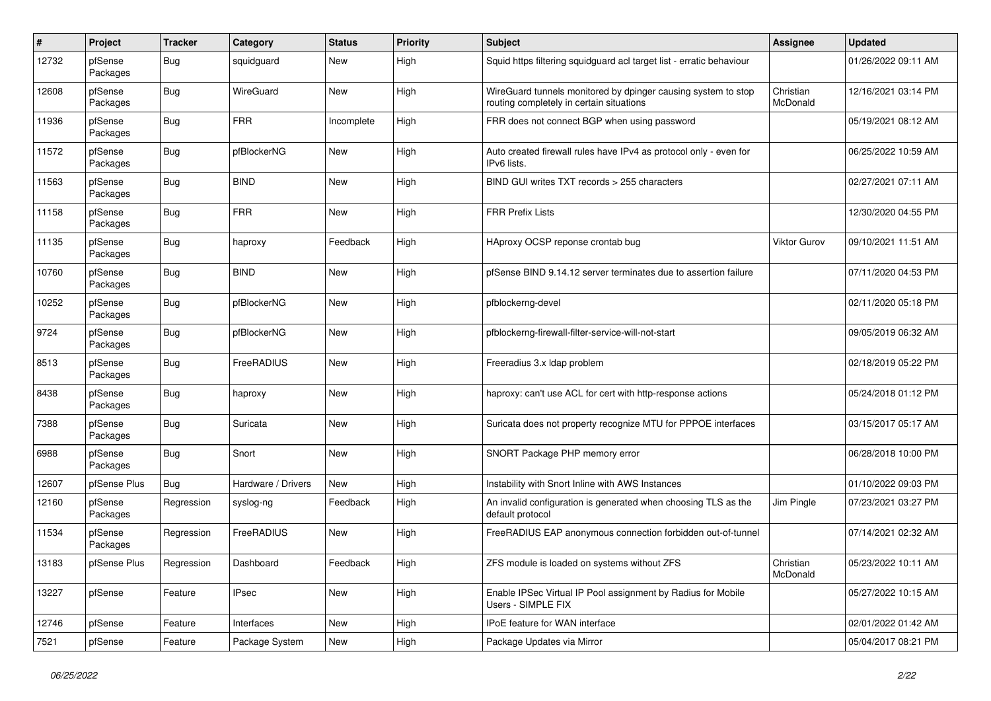| #     | Project             | Tracker    | Category           | <b>Status</b> | <b>Priority</b> | <b>Subject</b>                                                                                            | Assignee              | <b>Updated</b>      |
|-------|---------------------|------------|--------------------|---------------|-----------------|-----------------------------------------------------------------------------------------------------------|-----------------------|---------------------|
| 12732 | pfSense<br>Packages | <b>Bug</b> | squidguard         | New           | High            | Squid https filtering squidguard acl target list - erratic behaviour                                      |                       | 01/26/2022 09:11 AM |
| 12608 | pfSense<br>Packages | <b>Bug</b> | WireGuard          | <b>New</b>    | High            | WireGuard tunnels monitored by dpinger causing system to stop<br>routing completely in certain situations | Christian<br>McDonald | 12/16/2021 03:14 PM |
| 11936 | pfSense<br>Packages | <b>Bug</b> | <b>FRR</b>         | Incomplete    | High            | FRR does not connect BGP when using password                                                              |                       | 05/19/2021 08:12 AM |
| 11572 | pfSense<br>Packages | <b>Bug</b> | pfBlockerNG        | New           | High            | Auto created firewall rules have IPv4 as protocol only - even for<br>IPv6 lists.                          |                       | 06/25/2022 10:59 AM |
| 11563 | pfSense<br>Packages | <b>Bug</b> | <b>BIND</b>        | New           | High            | BIND GUI writes TXT records > 255 characters                                                              |                       | 02/27/2021 07:11 AM |
| 11158 | pfSense<br>Packages | <b>Bug</b> | <b>FRR</b>         | <b>New</b>    | High            | <b>FRR Prefix Lists</b>                                                                                   |                       | 12/30/2020 04:55 PM |
| 11135 | pfSense<br>Packages | <b>Bug</b> | haproxy            | Feedback      | High            | HAproxy OCSP reponse crontab bug                                                                          | Viktor Gurov          | 09/10/2021 11:51 AM |
| 10760 | pfSense<br>Packages | Bug        | <b>BIND</b>        | <b>New</b>    | High            | pfSense BIND 9.14.12 server terminates due to assertion failure                                           |                       | 07/11/2020 04:53 PM |
| 10252 | pfSense<br>Packages | Bug        | pfBlockerNG        | New           | High            | pfblockerng-devel                                                                                         |                       | 02/11/2020 05:18 PM |
| 9724  | pfSense<br>Packages | Bug        | pfBlockerNG        | <b>New</b>    | High            | pfblockerng-firewall-filter-service-will-not-start                                                        |                       | 09/05/2019 06:32 AM |
| 8513  | pfSense<br>Packages | Bug        | FreeRADIUS         | New           | High            | Freeradius 3.x Idap problem                                                                               |                       | 02/18/2019 05:22 PM |
| 8438  | pfSense<br>Packages | <b>Bug</b> | haproxy            | New           | High            | haproxy: can't use ACL for cert with http-response actions                                                |                       | 05/24/2018 01:12 PM |
| 7388  | pfSense<br>Packages | <b>Bug</b> | Suricata           | New           | High            | Suricata does not property recognize MTU for PPPOE interfaces                                             |                       | 03/15/2017 05:17 AM |
| 6988  | pfSense<br>Packages | <b>Bug</b> | Snort              | New           | High            | SNORT Package PHP memory error                                                                            |                       | 06/28/2018 10:00 PM |
| 12607 | pfSense Plus        | Bug        | Hardware / Drivers | <b>New</b>    | High            | Instability with Snort Inline with AWS Instances                                                          |                       | 01/10/2022 09:03 PM |
| 12160 | pfSense<br>Packages | Regression | syslog-ng          | Feedback      | High            | An invalid configuration is generated when choosing TLS as the<br>default protocol                        | Jim Pingle            | 07/23/2021 03:27 PM |
| 11534 | pfSense<br>Packages | Regression | FreeRADIUS         | New           | High            | FreeRADIUS EAP anonymous connection forbidden out-of-tunnel                                               |                       | 07/14/2021 02:32 AM |
| 13183 | pfSense Plus        | Regression | Dashboard          | Feedback      | High            | ZFS module is loaded on systems without ZFS                                                               | Christian<br>McDonald | 05/23/2022 10:11 AM |
| 13227 | pfSense             | Feature    | IPsec              | New           | High            | Enable IPSec Virtual IP Pool assignment by Radius for Mobile<br>Users - SIMPLE FIX                        |                       | 05/27/2022 10:15 AM |
| 12746 | pfSense             | Feature    | Interfaces         | New           | High            | IPoE feature for WAN interface                                                                            |                       | 02/01/2022 01:42 AM |
| 7521  | pfSense             | Feature    | Package System     | New           | High            | Package Updates via Mirror                                                                                |                       | 05/04/2017 08:21 PM |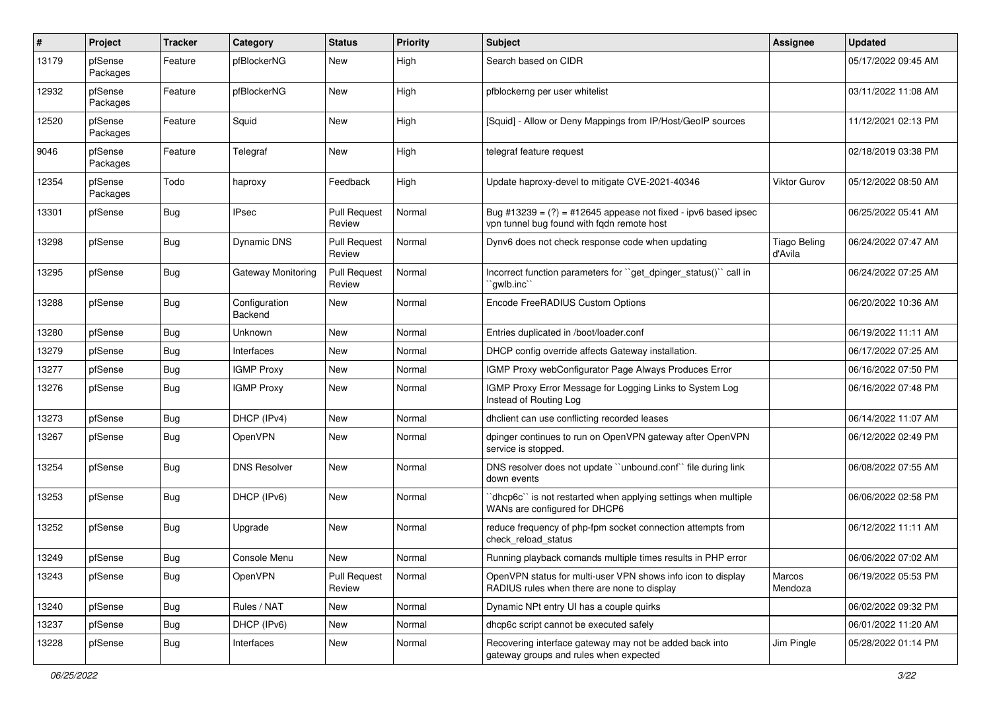| #     | Project             | <b>Tracker</b>   | Category                 | <b>Status</b>                 | <b>Priority</b> | <b>Subject</b>                                                                                                 | Assignee                       | <b>Updated</b>      |
|-------|---------------------|------------------|--------------------------|-------------------------------|-----------------|----------------------------------------------------------------------------------------------------------------|--------------------------------|---------------------|
| 13179 | pfSense<br>Packages | Feature          | pfBlockerNG              | <b>New</b>                    | High            | Search based on CIDR                                                                                           |                                | 05/17/2022 09:45 AM |
| 12932 | pfSense<br>Packages | Feature          | pfBlockerNG              | <b>New</b>                    | High            | pfblockerng per user whitelist                                                                                 |                                | 03/11/2022 11:08 AM |
| 12520 | pfSense<br>Packages | Feature          | Squid                    | <b>New</b>                    | High            | [Squid] - Allow or Deny Mappings from IP/Host/GeoIP sources                                                    |                                | 11/12/2021 02:13 PM |
| 9046  | pfSense<br>Packages | Feature          | Telegraf                 | <b>New</b>                    | High            | telegraf feature request                                                                                       |                                | 02/18/2019 03:38 PM |
| 12354 | pfSense<br>Packages | Todo             | haproxy                  | Feedback                      | High            | Update haproxy-devel to mitigate CVE-2021-40346                                                                | Viktor Gurov                   | 05/12/2022 08:50 AM |
| 13301 | pfSense             | Bug              | <b>IPsec</b>             | <b>Pull Request</b><br>Review | Normal          | Bug #13239 = $(?)$ = #12645 appease not fixed - ipv6 based ipsec<br>vpn tunnel bug found with fqdn remote host |                                | 06/25/2022 05:41 AM |
| 13298 | pfSense             | Bug              | <b>Dynamic DNS</b>       | <b>Pull Request</b><br>Review | Normal          | Dynv6 does not check response code when updating                                                               | <b>Tiago Beling</b><br>d'Avila | 06/24/2022 07:47 AM |
| 13295 | pfSense             | Bug              | Gateway Monitoring       | Pull Request<br>Review        | Normal          | Incorrect function parameters for "get dpinger status()" call in<br>`qwlb.inc``                                |                                | 06/24/2022 07:25 AM |
| 13288 | pfSense             | Bug              | Configuration<br>Backend | <b>New</b>                    | Normal          | Encode FreeRADIUS Custom Options                                                                               |                                | 06/20/2022 10:36 AM |
| 13280 | pfSense             | Bug              | Unknown                  | <b>New</b>                    | Normal          | Entries duplicated in /boot/loader.conf                                                                        |                                | 06/19/2022 11:11 AM |
| 13279 | pfSense             | <b>Bug</b>       | Interfaces               | <b>New</b>                    | Normal          | DHCP config override affects Gateway installation.                                                             |                                | 06/17/2022 07:25 AM |
| 13277 | pfSense             | <b>Bug</b>       | <b>IGMP Proxy</b>        | <b>New</b>                    | Normal          | IGMP Proxy webConfigurator Page Always Produces Error                                                          |                                | 06/16/2022 07:50 PM |
| 13276 | pfSense             | Bug              | <b>IGMP Proxy</b>        | <b>New</b>                    | Normal          | IGMP Proxy Error Message for Logging Links to System Log<br>Instead of Routing Log                             |                                | 06/16/2022 07:48 PM |
| 13273 | pfSense             | Bug              | DHCP (IPv4)              | <b>New</b>                    | Normal          | dhclient can use conflicting recorded leases                                                                   |                                | 06/14/2022 11:07 AM |
| 13267 | pfSense             | Bug              | <b>OpenVPN</b>           | <b>New</b>                    | Normal          | dpinger continues to run on OpenVPN gateway after OpenVPN<br>service is stopped.                               |                                | 06/12/2022 02:49 PM |
| 13254 | pfSense             | <b>Bug</b>       | <b>DNS Resolver</b>      | <b>New</b>                    | Normal          | DNS resolver does not update "unbound.conf" file during link<br>down events                                    |                                | 06/08/2022 07:55 AM |
| 13253 | pfSense             | Bug              | DHCP (IPv6)              | <b>New</b>                    | Normal          | dhcp6c" is not restarted when applying settings when multiple<br>WANs are configured for DHCP6                 |                                | 06/06/2022 02:58 PM |
| 13252 | pfSense             | Bug              | Upgrade                  | <b>New</b>                    | Normal          | reduce frequency of php-fpm socket connection attempts from<br>check reload status                             |                                | 06/12/2022 11:11 AM |
| 13249 | pfSense             | <sub>i</sub> Bug | Console Menu             | New                           | Normal          | Running playback comands multiple times results in PHP error                                                   |                                | 06/06/2022 07:02 AM |
| 13243 | pfSense             | Bug              | OpenVPN                  | <b>Pull Request</b><br>Review | Normal          | OpenVPN status for multi-user VPN shows info icon to display<br>RADIUS rules when there are none to display    | Marcos<br>Mendoza              | 06/19/2022 05:53 PM |
| 13240 | pfSense             | Bug              | Rules / NAT              | New                           | Normal          | Dynamic NPt entry UI has a couple quirks                                                                       |                                | 06/02/2022 09:32 PM |
| 13237 | pfSense             | Bug              | DHCP (IPv6)              | New                           | Normal          | dhcp6c script cannot be executed safely                                                                        |                                | 06/01/2022 11:20 AM |
| 13228 | pfSense             | <b>Bug</b>       | Interfaces               | New                           | Normal          | Recovering interface gateway may not be added back into<br>gateway groups and rules when expected              | Jim Pingle                     | 05/28/2022 01:14 PM |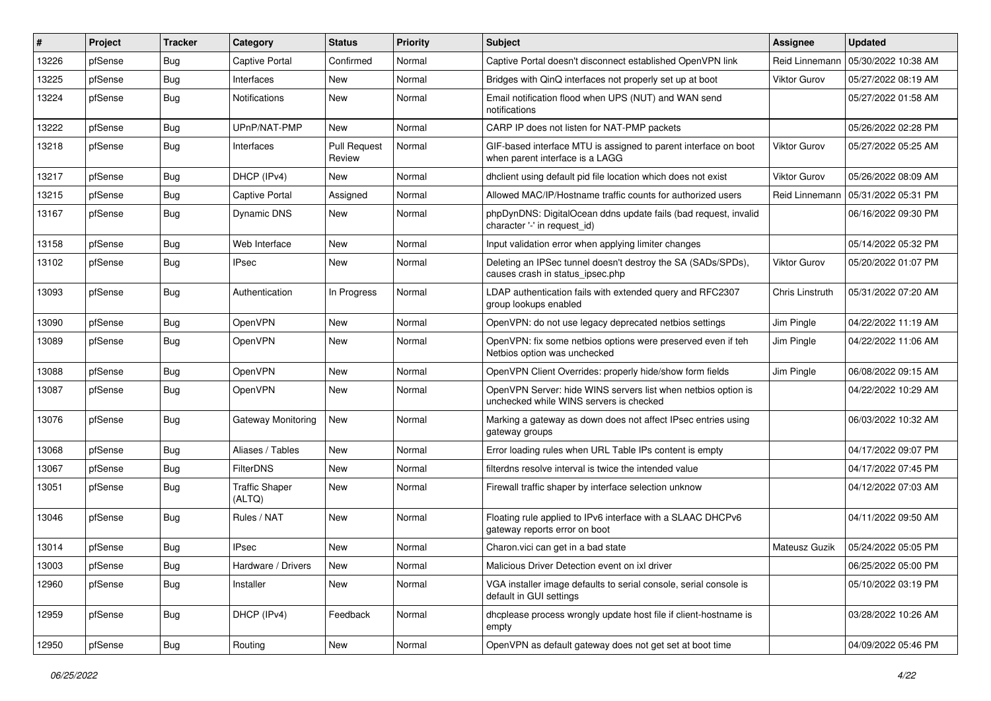| #     | Project | <b>Tracker</b> | Category                        | <b>Status</b>                 | <b>Priority</b> | <b>Subject</b>                                                                                           | <b>Assignee</b>     | <b>Updated</b>      |
|-------|---------|----------------|---------------------------------|-------------------------------|-----------------|----------------------------------------------------------------------------------------------------------|---------------------|---------------------|
| 13226 | pfSense | <b>Bug</b>     | <b>Captive Portal</b>           | Confirmed                     | Normal          | Captive Portal doesn't disconnect established OpenVPN link                                               | Reid Linnemann      | 05/30/2022 10:38 AM |
| 13225 | pfSense | Bug            | Interfaces                      | <b>New</b>                    | Normal          | Bridges with QinQ interfaces not properly set up at boot                                                 | <b>Viktor Gurov</b> | 05/27/2022 08:19 AM |
| 13224 | pfSense | Bug            | <b>Notifications</b>            | New                           | Normal          | Email notification flood when UPS (NUT) and WAN send<br>notifications                                    |                     | 05/27/2022 01:58 AM |
| 13222 | pfSense | Bug            | UPnP/NAT-PMP                    | New                           | Normal          | CARP IP does not listen for NAT-PMP packets                                                              |                     | 05/26/2022 02:28 PM |
| 13218 | pfSense | Bug            | Interfaces                      | <b>Pull Request</b><br>Review | Normal          | GIF-based interface MTU is assigned to parent interface on boot<br>when parent interface is a LAGG       | <b>Viktor Gurov</b> | 05/27/2022 05:25 AM |
| 13217 | pfSense | Bug            | DHCP (IPv4)                     | <b>New</b>                    | Normal          | dhclient using default pid file location which does not exist                                            | <b>Viktor Gurov</b> | 05/26/2022 08:09 AM |
| 13215 | pfSense | Bug            | <b>Captive Portal</b>           | Assigned                      | Normal          | Allowed MAC/IP/Hostname traffic counts for authorized users                                              | Reid Linnemann      | 05/31/2022 05:31 PM |
| 13167 | pfSense | Bug            | Dynamic DNS                     | New                           | Normal          | phpDynDNS: DigitalOcean ddns update fails (bad request, invalid<br>character '-' in request_id)          |                     | 06/16/2022 09:30 PM |
| 13158 | pfSense | Bug            | Web Interface                   | <b>New</b>                    | Normal          | Input validation error when applying limiter changes                                                     |                     | 05/14/2022 05:32 PM |
| 13102 | pfSense | <b>Bug</b>     | <b>IPsec</b>                    | New                           | Normal          | Deleting an IPSec tunnel doesn't destroy the SA (SADs/SPDs),<br>causes crash in status_ipsec.php         | <b>Viktor Gurov</b> | 05/20/2022 01:07 PM |
| 13093 | pfSense | Bug            | Authentication                  | In Progress                   | Normal          | LDAP authentication fails with extended query and RFC2307<br>group lookups enabled                       | Chris Linstruth     | 05/31/2022 07:20 AM |
| 13090 | pfSense | <b>Bug</b>     | <b>OpenVPN</b>                  | <b>New</b>                    | Normal          | OpenVPN: do not use legacy deprecated netbios settings                                                   | Jim Pingle          | 04/22/2022 11:19 AM |
| 13089 | pfSense | Bug            | OpenVPN                         | New                           | Normal          | OpenVPN: fix some netbios options were preserved even if teh<br>Netbios option was unchecked             | Jim Pingle          | 04/22/2022 11:06 AM |
| 13088 | pfSense | Bug            | OpenVPN                         | New                           | Normal          | OpenVPN Client Overrides: properly hide/show form fields                                                 | Jim Pingle          | 06/08/2022 09:15 AM |
| 13087 | pfSense | <b>Bug</b>     | <b>OpenVPN</b>                  | <b>New</b>                    | Normal          | OpenVPN Server: hide WINS servers list when netbios option is<br>unchecked while WINS servers is checked |                     | 04/22/2022 10:29 AM |
| 13076 | pfSense | Bug            | Gateway Monitoring              | <b>New</b>                    | Normal          | Marking a gateway as down does not affect IPsec entries using<br>gateway groups                          |                     | 06/03/2022 10:32 AM |
| 13068 | pfSense | Bug            | Aliases / Tables                | <b>New</b>                    | Normal          | Error loading rules when URL Table IPs content is empty                                                  |                     | 04/17/2022 09:07 PM |
| 13067 | pfSense | Bug            | FilterDNS                       | New                           | Normal          | filterdns resolve interval is twice the intended value                                                   |                     | 04/17/2022 07:45 PM |
| 13051 | pfSense | Bug            | <b>Traffic Shaper</b><br>(ALTQ) | New                           | Normal          | Firewall traffic shaper by interface selection unknow                                                    |                     | 04/12/2022 07:03 AM |
| 13046 | pfSense | Bug            | Rules / NAT                     | New                           | Normal          | Floating rule applied to IPv6 interface with a SLAAC DHCPv6<br>gateway reports error on boot             |                     | 04/11/2022 09:50 AM |
| 13014 | pfSense | Bug            | <b>IPsec</b>                    | New                           | Normal          | Charon.vici can get in a bad state                                                                       | Mateusz Guzik       | 05/24/2022 05:05 PM |
| 13003 | pfSense | Bug            | Hardware / Drivers              | New                           | Normal          | Malicious Driver Detection event on ixl driver                                                           |                     | 06/25/2022 05:00 PM |
| 12960 | pfSense | Bug            | Installer                       | New                           | Normal          | VGA installer image defaults to serial console, serial console is<br>default in GUI settings             |                     | 05/10/2022 03:19 PM |
| 12959 | pfSense | Bug            | DHCP (IPv4)                     | Feedback                      | Normal          | dhcplease process wrongly update host file if client-hostname is<br>empty                                |                     | 03/28/2022 10:26 AM |
| 12950 | pfSense | Bug            | Routing                         | New                           | Normal          | OpenVPN as default gateway does not get set at boot time                                                 |                     | 04/09/2022 05:46 PM |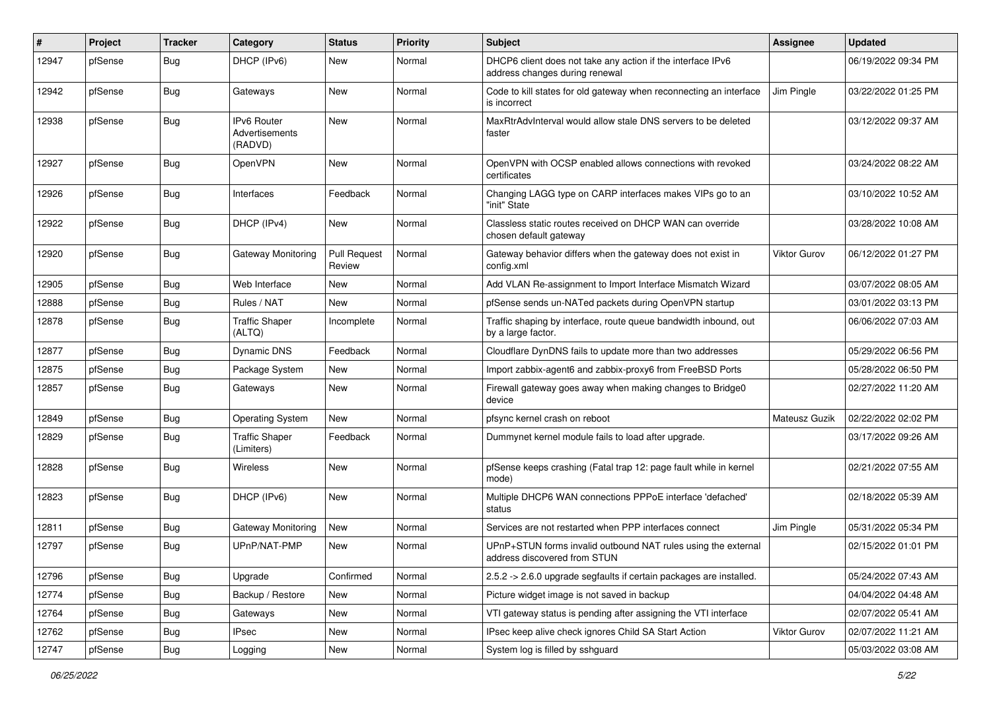| $\#$  | Project | <b>Tracker</b>   | Category                                        | <b>Status</b>                 | <b>Priority</b> | <b>Subject</b>                                                                                | <b>Assignee</b> | <b>Updated</b>      |
|-------|---------|------------------|-------------------------------------------------|-------------------------------|-----------------|-----------------------------------------------------------------------------------------------|-----------------|---------------------|
| 12947 | pfSense | Bug              | DHCP (IPv6)                                     | New                           | Normal          | DHCP6 client does not take any action if the interface IPv6<br>address changes during renewal |                 | 06/19/2022 09:34 PM |
| 12942 | pfSense | Bug              | Gateways                                        | New                           | Normal          | Code to kill states for old gateway when reconnecting an interface<br>is incorrect            | Jim Pingle      | 03/22/2022 01:25 PM |
| 12938 | pfSense | Bug              | IPv6 Router<br><b>Advertisements</b><br>(RADVD) | <b>New</b>                    | Normal          | MaxRtrAdvInterval would allow stale DNS servers to be deleted<br>faster                       |                 | 03/12/2022 09:37 AM |
| 12927 | pfSense | Bug              | OpenVPN                                         | <b>New</b>                    | Normal          | OpenVPN with OCSP enabled allows connections with revoked<br>certificates                     |                 | 03/24/2022 08:22 AM |
| 12926 | pfSense | Bug              | Interfaces                                      | Feedback                      | Normal          | Changing LAGG type on CARP interfaces makes VIPs go to an<br>"init" State                     |                 | 03/10/2022 10:52 AM |
| 12922 | pfSense | Bug              | DHCP (IPv4)                                     | New                           | Normal          | Classless static routes received on DHCP WAN can override<br>chosen default gateway           |                 | 03/28/2022 10:08 AM |
| 12920 | pfSense | Bug              | Gateway Monitoring                              | <b>Pull Request</b><br>Review | Normal          | Gateway behavior differs when the gateway does not exist in<br>config.xml                     | Viktor Gurov    | 06/12/2022 01:27 PM |
| 12905 | pfSense | Bug              | Web Interface                                   | New                           | Normal          | Add VLAN Re-assignment to Import Interface Mismatch Wizard                                    |                 | 03/07/2022 08:05 AM |
| 12888 | pfSense | Bug              | Rules / NAT                                     | New                           | Normal          | pfSense sends un-NATed packets during OpenVPN startup                                         |                 | 03/01/2022 03:13 PM |
| 12878 | pfSense | <b>Bug</b>       | <b>Traffic Shaper</b><br>(ALTQ)                 | Incomplete                    | Normal          | Traffic shaping by interface, route queue bandwidth inbound, out<br>by a large factor.        |                 | 06/06/2022 07:03 AM |
| 12877 | pfSense | Bug              | Dynamic DNS                                     | Feedback                      | Normal          | Cloudflare DynDNS fails to update more than two addresses                                     |                 | 05/29/2022 06:56 PM |
| 12875 | pfSense | Bug              | Package System                                  | New                           | Normal          | Import zabbix-agent6 and zabbix-proxy6 from FreeBSD Ports                                     |                 | 05/28/2022 06:50 PM |
| 12857 | pfSense | Bug              | Gateways                                        | <b>New</b>                    | Normal          | Firewall gateway goes away when making changes to Bridge0<br>device                           |                 | 02/27/2022 11:20 AM |
| 12849 | pfSense | Bug              | <b>Operating System</b>                         | New                           | Normal          | pfsync kernel crash on reboot                                                                 | Mateusz Guzik   | 02/22/2022 02:02 PM |
| 12829 | pfSense | <b>Bug</b>       | <b>Traffic Shaper</b><br>(Limiters)             | Feedback                      | Normal          | Dummynet kernel module fails to load after upgrade.                                           |                 | 03/17/2022 09:26 AM |
| 12828 | pfSense | Bug              | Wireless                                        | <b>New</b>                    | Normal          | pfSense keeps crashing (Fatal trap 12: page fault while in kernel<br>mode)                    |                 | 02/21/2022 07:55 AM |
| 12823 | pfSense | Bug              | DHCP (IPv6)                                     | New                           | Normal          | Multiple DHCP6 WAN connections PPPoE interface 'defached'<br>status                           |                 | 02/18/2022 05:39 AM |
| 12811 | pfSense | <b>Bug</b>       | Gateway Monitoring                              | New                           | Normal          | Services are not restarted when PPP interfaces connect                                        | Jim Pingle      | 05/31/2022 05:34 PM |
| 12797 | pfSense | <b>Bug</b>       | UPnP/NAT-PMP                                    | New                           | Normal          | UPnP+STUN forms invalid outbound NAT rules using the external<br>address discovered from STUN |                 | 02/15/2022 01:01 PM |
| 12796 | pfSense | Bug              | Upgrade                                         | Confirmed                     | Normal          | 2.5.2 -> 2.6.0 upgrade segfaults if certain packages are installed.                           |                 | 05/24/2022 07:43 AM |
| 12774 | pfSense | <b>Bug</b>       | Backup / Restore                                | New                           | Normal          | Picture widget image is not saved in backup                                                   |                 | 04/04/2022 04:48 AM |
| 12764 | pfSense | <b>Bug</b>       | Gateways                                        | New                           | Normal          | VTI gateway status is pending after assigning the VTI interface                               |                 | 02/07/2022 05:41 AM |
| 12762 | pfSense | Bug              | <b>IPsec</b>                                    | New                           | Normal          | IPsec keep alive check ignores Child SA Start Action                                          | Viktor Gurov    | 02/07/2022 11:21 AM |
| 12747 | pfSense | <sub>i</sub> Bug | Logging                                         | New                           | Normal          | System log is filled by sshguard                                                              |                 | 05/03/2022 03:08 AM |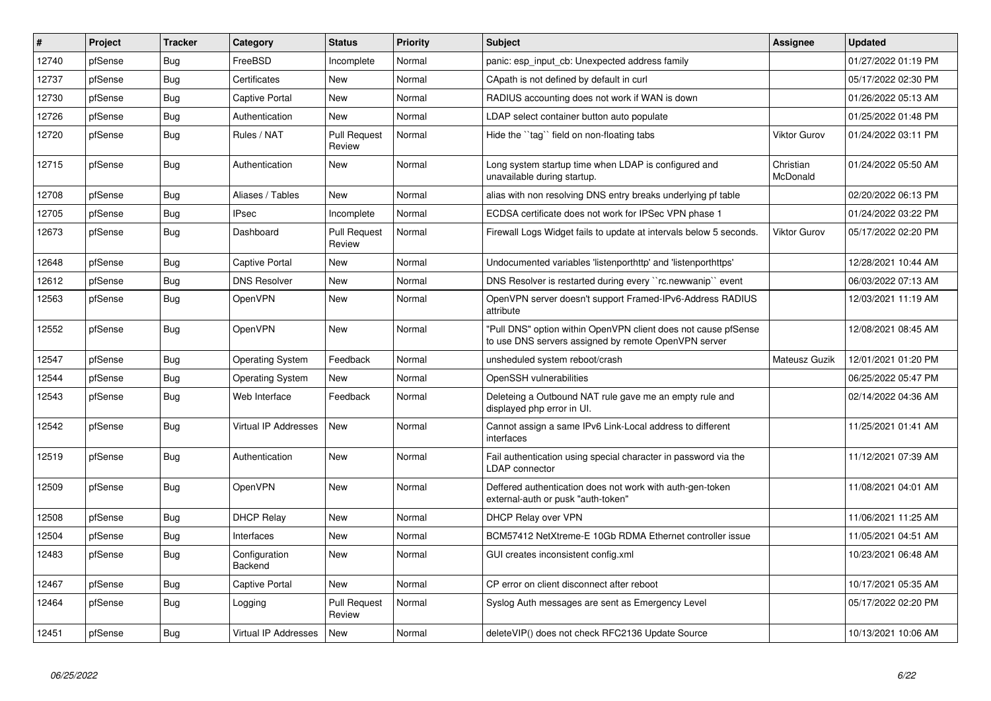| #     | Project | <b>Tracker</b> | Category                 | <b>Status</b>                 | <b>Priority</b> | <b>Subject</b>                                                                                                         | <b>Assignee</b>       | <b>Updated</b>      |
|-------|---------|----------------|--------------------------|-------------------------------|-----------------|------------------------------------------------------------------------------------------------------------------------|-----------------------|---------------------|
| 12740 | pfSense | <b>Bug</b>     | FreeBSD                  | Incomplete                    | Normal          | panic: esp input cb: Unexpected address family                                                                         |                       | 01/27/2022 01:19 PM |
| 12737 | pfSense | <b>Bug</b>     | Certificates             | New                           | Normal          | CApath is not defined by default in curl                                                                               |                       | 05/17/2022 02:30 PM |
| 12730 | pfSense | <b>Bug</b>     | Captive Portal           | <b>New</b>                    | Normal          | RADIUS accounting does not work if WAN is down                                                                         |                       | 01/26/2022 05:13 AM |
| 12726 | pfSense | <b>Bug</b>     | Authentication           | New                           | Normal          | LDAP select container button auto populate                                                                             |                       | 01/25/2022 01:48 PM |
| 12720 | pfSense | <b>Bug</b>     | Rules / NAT              | <b>Pull Request</b><br>Review | Normal          | Hide the "tag" field on non-floating tabs                                                                              | <b>Viktor Gurov</b>   | 01/24/2022 03:11 PM |
| 12715 | pfSense | <b>Bug</b>     | Authentication           | New                           | Normal          | Long system startup time when LDAP is configured and<br>unavailable during startup.                                    | Christian<br>McDonald | 01/24/2022 05:50 AM |
| 12708 | pfSense | Bug            | Aliases / Tables         | <b>New</b>                    | Normal          | alias with non resolving DNS entry breaks underlying pf table                                                          |                       | 02/20/2022 06:13 PM |
| 12705 | pfSense | <b>Bug</b>     | <b>IPsec</b>             | Incomplete                    | Normal          | ECDSA certificate does not work for IPSec VPN phase 1                                                                  |                       | 01/24/2022 03:22 PM |
| 12673 | pfSense | Bug            | Dashboard                | <b>Pull Request</b><br>Review | Normal          | Firewall Logs Widget fails to update at intervals below 5 seconds.                                                     | Viktor Gurov          | 05/17/2022 02:20 PM |
| 12648 | pfSense | Bug            | <b>Captive Portal</b>    | <b>New</b>                    | Normal          | Undocumented variables 'listenporthttp' and 'listenporthttps'                                                          |                       | 12/28/2021 10:44 AM |
| 12612 | pfSense | <b>Bug</b>     | <b>DNS Resolver</b>      | New                           | Normal          | DNS Resolver is restarted during every "rc.newwanip" event                                                             |                       | 06/03/2022 07:13 AM |
| 12563 | pfSense | <b>Bug</b>     | OpenVPN                  | <b>New</b>                    | Normal          | OpenVPN server doesn't support Framed-IPv6-Address RADIUS<br>attribute                                                 |                       | 12/03/2021 11:19 AM |
| 12552 | pfSense | <b>Bug</b>     | OpenVPN                  | New                           | Normal          | 'Pull DNS" option within OpenVPN client does not cause pfSense<br>to use DNS servers assigned by remote OpenVPN server |                       | 12/08/2021 08:45 AM |
| 12547 | pfSense | <b>Bug</b>     | <b>Operating System</b>  | Feedback                      | Normal          | unsheduled system reboot/crash                                                                                         | Mateusz Guzik         | 12/01/2021 01:20 PM |
| 12544 | pfSense | <b>Bug</b>     | <b>Operating System</b>  | <b>New</b>                    | Normal          | OpenSSH vulnerabilities                                                                                                |                       | 06/25/2022 05:47 PM |
| 12543 | pfSense | Bug            | Web Interface            | Feedback                      | Normal          | Deleteing a Outbound NAT rule gave me an empty rule and<br>displayed php error in UI.                                  |                       | 02/14/2022 04:36 AM |
| 12542 | pfSense | Bug            | Virtual IP Addresses     | New                           | Normal          | Cannot assign a same IPv6 Link-Local address to different<br>interfaces                                                |                       | 11/25/2021 01:41 AM |
| 12519 | pfSense | Bug            | Authentication           | <b>New</b>                    | Normal          | Fail authentication using special character in password via the<br><b>LDAP</b> connector                               |                       | 11/12/2021 07:39 AM |
| 12509 | pfSense | <b>Bug</b>     | OpenVPN                  | New                           | Normal          | Deffered authentication does not work with auth-gen-token<br>external-auth or pusk "auth-token"                        |                       | 11/08/2021 04:01 AM |
| 12508 | pfSense | <b>Bug</b>     | <b>DHCP Relay</b>        | <b>New</b>                    | Normal          | DHCP Relay over VPN                                                                                                    |                       | 11/06/2021 11:25 AM |
| 12504 | pfSense | <b>Bug</b>     | Interfaces               | <b>New</b>                    | Normal          | BCM57412 NetXtreme-E 10Gb RDMA Ethernet controller issue                                                               |                       | 11/05/2021 04:51 AM |
| 12483 | pfSense | Bug            | Configuration<br>Backend | New                           | Normal          | GUI creates inconsistent config.xml                                                                                    |                       | 10/23/2021 06:48 AM |
| 12467 | pfSense | Bug            | <b>Captive Portal</b>    | <b>New</b>                    | Normal          | CP error on client disconnect after reboot                                                                             |                       | 10/17/2021 05:35 AM |
| 12464 | pfSense | <b>Bug</b>     | Logging                  | <b>Pull Request</b><br>Review | Normal          | Syslog Auth messages are sent as Emergency Level                                                                       |                       | 05/17/2022 02:20 PM |
| 12451 | pfSense | <b>Bug</b>     | Virtual IP Addresses     | New                           | Normal          | deleteVIP() does not check RFC2136 Update Source                                                                       |                       | 10/13/2021 10:06 AM |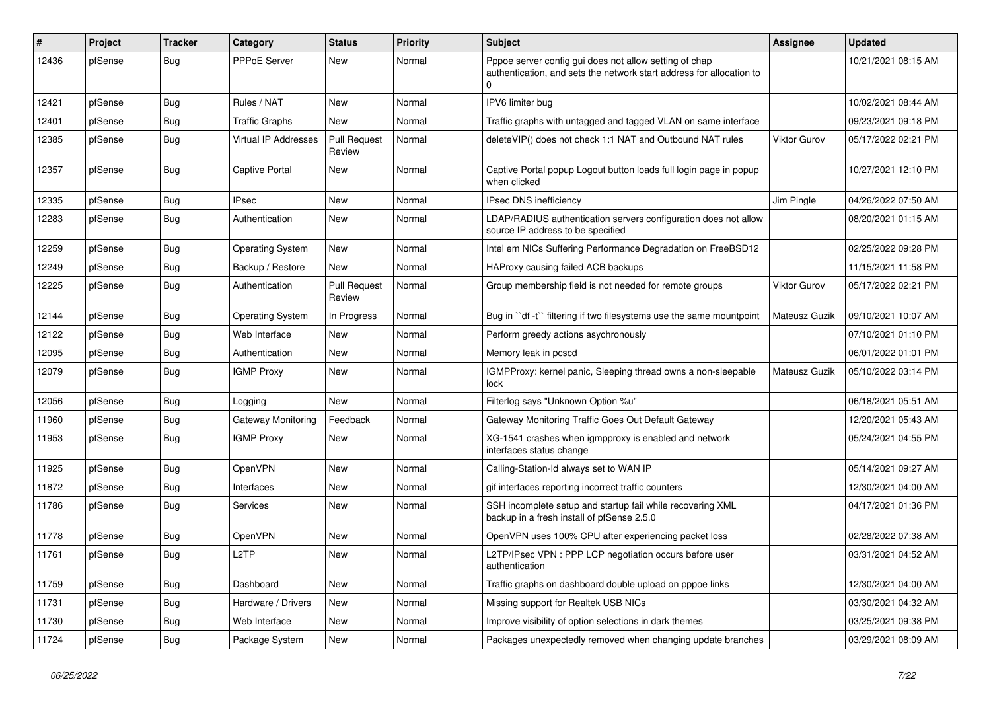| #     | <b>Project</b> | <b>Tracker</b> | Category                    | <b>Status</b>                 | <b>Priority</b> | <b>Subject</b>                                                                                                                             | <b>Assignee</b>     | <b>Updated</b>      |
|-------|----------------|----------------|-----------------------------|-------------------------------|-----------------|--------------------------------------------------------------------------------------------------------------------------------------------|---------------------|---------------------|
| 12436 | pfSense        | Bug            | PPPoE Server                | <b>New</b>                    | Normal          | Pppoe server config gui does not allow setting of chap<br>authentication, and sets the network start address for allocation to<br>$\Omega$ |                     | 10/21/2021 08:15 AM |
| 12421 | pfSense        | <b>Bug</b>     | Rules / NAT                 | <b>New</b>                    | Normal          | IPV6 limiter bug                                                                                                                           |                     | 10/02/2021 08:44 AM |
| 12401 | pfSense        | <b>Bug</b>     | <b>Traffic Graphs</b>       | <b>New</b>                    | Normal          | Traffic graphs with untagged and tagged VLAN on same interface                                                                             |                     | 09/23/2021 09:18 PM |
| 12385 | pfSense        | Bug            | <b>Virtual IP Addresses</b> | <b>Pull Request</b><br>Review | Normal          | deleteVIP() does not check 1:1 NAT and Outbound NAT rules                                                                                  | Viktor Gurov        | 05/17/2022 02:21 PM |
| 12357 | pfSense        | <b>Bug</b>     | Captive Portal              | New                           | Normal          | Captive Portal popup Logout button loads full login page in popup<br>when clicked                                                          |                     | 10/27/2021 12:10 PM |
| 12335 | pfSense        | <b>Bug</b>     | <b>IPsec</b>                | <b>New</b>                    | Normal          | <b>IPsec DNS inefficiency</b>                                                                                                              | Jim Pingle          | 04/26/2022 07:50 AM |
| 12283 | pfSense        | <b>Bug</b>     | Authentication              | <b>New</b>                    | Normal          | LDAP/RADIUS authentication servers configuration does not allow<br>source IP address to be specified                                       |                     | 08/20/2021 01:15 AM |
| 12259 | pfSense        | Bug            | Operating System            | <b>New</b>                    | Normal          | Intel em NICs Suffering Performance Degradation on FreeBSD12                                                                               |                     | 02/25/2022 09:28 PM |
| 12249 | pfSense        | <b>Bug</b>     | Backup / Restore            | <b>New</b>                    | Normal          | HAProxy causing failed ACB backups                                                                                                         |                     | 11/15/2021 11:58 PM |
| 12225 | pfSense        | <b>Bug</b>     | Authentication              | <b>Pull Request</b><br>Review | Normal          | Group membership field is not needed for remote groups                                                                                     | <b>Viktor Gurov</b> | 05/17/2022 02:21 PM |
| 12144 | pfSense        | <b>Bug</b>     | <b>Operating System</b>     | In Progress                   | Normal          | Bug in "df -t" filtering if two filesystems use the same mountpoint                                                                        | Mateusz Guzik       | 09/10/2021 10:07 AM |
| 12122 | pfSense        | <b>Bug</b>     | Web Interface               | New                           | Normal          | Perform greedy actions asychronously                                                                                                       |                     | 07/10/2021 01:10 PM |
| 12095 | pfSense        | Bug            | Authentication              | <b>New</b>                    | Normal          | Memory leak in pcscd                                                                                                                       |                     | 06/01/2022 01:01 PM |
| 12079 | pfSense        | Bug            | <b>IGMP Proxy</b>           | New                           | Normal          | IGMPProxy: kernel panic, Sleeping thread owns a non-sleepable<br>lock                                                                      | Mateusz Guzik       | 05/10/2022 03:14 PM |
| 12056 | pfSense        | Bug            | Logging                     | <b>New</b>                    | Normal          | Filterlog says "Unknown Option %u"                                                                                                         |                     | 06/18/2021 05:51 AM |
| 11960 | pfSense        | <b>Bug</b>     | Gateway Monitoring          | Feedback                      | Normal          | Gateway Monitoring Traffic Goes Out Default Gateway                                                                                        |                     | 12/20/2021 05:43 AM |
| 11953 | pfSense        | Bug            | <b>IGMP Proxy</b>           | New                           | Normal          | XG-1541 crashes when igmpproxy is enabled and network<br>interfaces status change                                                          |                     | 05/24/2021 04:55 PM |
| 11925 | pfSense        | Bug            | OpenVPN                     | New                           | Normal          | Calling-Station-Id always set to WAN IP                                                                                                    |                     | 05/14/2021 09:27 AM |
| 11872 | pfSense        | Bug            | Interfaces                  | <b>New</b>                    | Normal          | gif interfaces reporting incorrect traffic counters                                                                                        |                     | 12/30/2021 04:00 AM |
| 11786 | pfSense        | Bug            | Services                    | New                           | Normal          | SSH incomplete setup and startup fail while recovering XML<br>backup in a fresh install of pfSense 2.5.0                                   |                     | 04/17/2021 01:36 PM |
| 11778 | pfSense        | Bug            | OpenVPN                     | <b>New</b>                    | Normal          | OpenVPN uses 100% CPU after experiencing packet loss                                                                                       |                     | 02/28/2022 07:38 AM |
| 11761 | pfSense        | <b>Bug</b>     | L2TP                        | New                           | Normal          | L2TP/IPsec VPN : PPP LCP negotiation occurs before user<br>authentication                                                                  |                     | 03/31/2021 04:52 AM |
| 11759 | pfSense        | Bug            | Dashboard                   | <b>New</b>                    | Normal          | Traffic graphs on dashboard double upload on pppoe links                                                                                   |                     | 12/30/2021 04:00 AM |
| 11731 | pfSense        | <b>Bug</b>     | Hardware / Drivers          | New                           | Normal          | Missing support for Realtek USB NICs                                                                                                       |                     | 03/30/2021 04:32 AM |
| 11730 | pfSense        | <b>Bug</b>     | Web Interface               | <b>New</b>                    | Normal          | Improve visibility of option selections in dark themes                                                                                     |                     | 03/25/2021 09:38 PM |
| 11724 | pfSense        | Bug            | Package System              | New                           | Normal          | Packages unexpectedly removed when changing update branches                                                                                |                     | 03/29/2021 08:09 AM |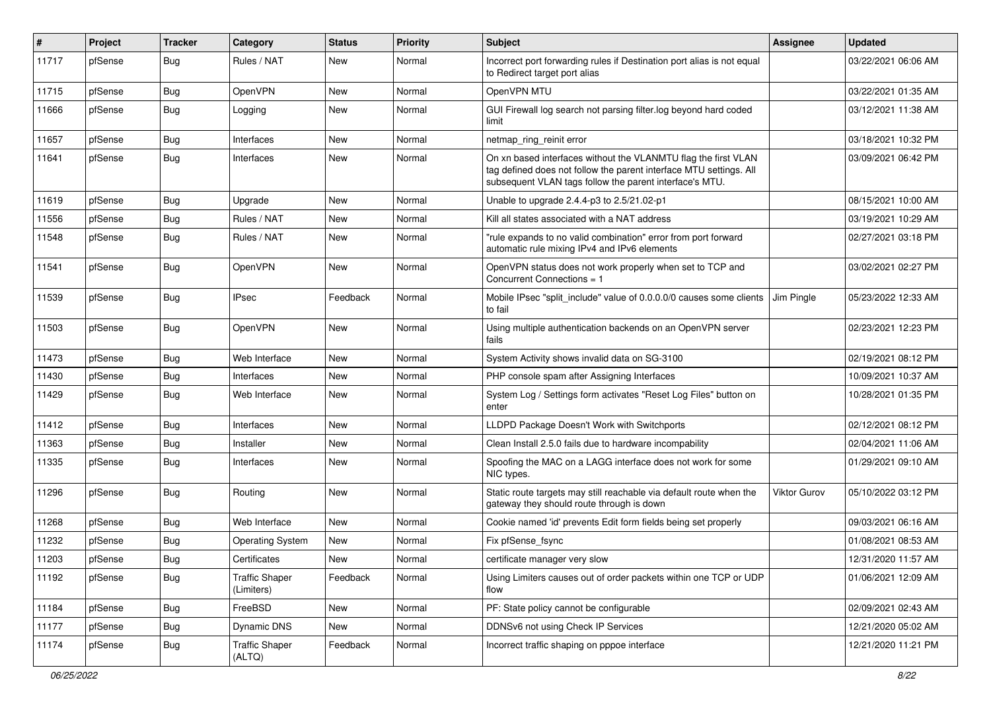| #     | Project | <b>Tracker</b> | Category                            | <b>Status</b> | <b>Priority</b> | Subject                                                                                                                                                                                         | <b>Assignee</b> | <b>Updated</b>      |
|-------|---------|----------------|-------------------------------------|---------------|-----------------|-------------------------------------------------------------------------------------------------------------------------------------------------------------------------------------------------|-----------------|---------------------|
| 11717 | pfSense | <b>Bug</b>     | Rules / NAT                         | New           | Normal          | Incorrect port forwarding rules if Destination port alias is not equal<br>to Redirect target port alias                                                                                         |                 | 03/22/2021 06:06 AM |
| 11715 | pfSense | Bug            | OpenVPN                             | New           | Normal          | OpenVPN MTU                                                                                                                                                                                     |                 | 03/22/2021 01:35 AM |
| 11666 | pfSense | <b>Bug</b>     | Logging                             | New           | Normal          | GUI Firewall log search not parsing filter.log beyond hard coded<br>limit                                                                                                                       |                 | 03/12/2021 11:38 AM |
| 11657 | pfSense | Bug            | Interfaces                          | New           | Normal          | netmap ring reinit error                                                                                                                                                                        |                 | 03/18/2021 10:32 PM |
| 11641 | pfSense | <b>Bug</b>     | Interfaces                          | New           | Normal          | On xn based interfaces without the VLANMTU flag the first VLAN<br>tag defined does not follow the parent interface MTU settings. All<br>subsequent VLAN tags follow the parent interface's MTU. |                 | 03/09/2021 06:42 PM |
| 11619 | pfSense | Bug            | Upgrade                             | New           | Normal          | Unable to upgrade 2.4.4-p3 to 2.5/21.02-p1                                                                                                                                                      |                 | 08/15/2021 10:00 AM |
| 11556 | pfSense | <b>Bug</b>     | Rules / NAT                         | <b>New</b>    | Normal          | Kill all states associated with a NAT address                                                                                                                                                   |                 | 03/19/2021 10:29 AM |
| 11548 | pfSense | <b>Bug</b>     | Rules / NAT                         | New           | Normal          | "rule expands to no valid combination" error from port forward<br>automatic rule mixing IPv4 and IPv6 elements                                                                                  |                 | 02/27/2021 03:18 PM |
| 11541 | pfSense | Bug            | OpenVPN                             | New           | Normal          | OpenVPN status does not work properly when set to TCP and<br>Concurrent Connections = 1                                                                                                         |                 | 03/02/2021 02:27 PM |
| 11539 | pfSense | Bug            | <b>IPsec</b>                        | Feedback      | Normal          | Mobile IPsec "split include" value of 0.0.0.0/0 causes some clients<br>to fail                                                                                                                  | Jim Pinale      | 05/23/2022 12:33 AM |
| 11503 | pfSense | <b>Bug</b>     | OpenVPN                             | <b>New</b>    | Normal          | Using multiple authentication backends on an OpenVPN server<br>fails                                                                                                                            |                 | 02/23/2021 12:23 PM |
| 11473 | pfSense | <b>Bug</b>     | Web Interface                       | New           | Normal          | System Activity shows invalid data on SG-3100                                                                                                                                                   |                 | 02/19/2021 08:12 PM |
| 11430 | pfSense | <b>Bug</b>     | Interfaces                          | New           | Normal          | PHP console spam after Assigning Interfaces                                                                                                                                                     |                 | 10/09/2021 10:37 AM |
| 11429 | pfSense | Bug            | Web Interface                       | <b>New</b>    | Normal          | System Log / Settings form activates "Reset Log Files" button on<br>enter                                                                                                                       |                 | 10/28/2021 01:35 PM |
| 11412 | pfSense | Bug            | Interfaces                          | New           | Normal          | LLDPD Package Doesn't Work with Switchports                                                                                                                                                     |                 | 02/12/2021 08:12 PM |
| 11363 | pfSense | Bug            | Installer                           | New           | Normal          | Clean Install 2.5.0 fails due to hardware incompability                                                                                                                                         |                 | 02/04/2021 11:06 AM |
| 11335 | pfSense | <b>Bug</b>     | Interfaces                          | New           | Normal          | Spoofing the MAC on a LAGG interface does not work for some<br>NIC types.                                                                                                                       |                 | 01/29/2021 09:10 AM |
| 11296 | pfSense | Bug            | Routing                             | New           | Normal          | Static route targets may still reachable via default route when the<br>gateway they should route through is down                                                                                | Viktor Gurov    | 05/10/2022 03:12 PM |
| 11268 | pfSense | Bug            | Web Interface                       | <b>New</b>    | Normal          | Cookie named 'id' prevents Edit form fields being set properly                                                                                                                                  |                 | 09/03/2021 06:16 AM |
| 11232 | pfSense | Bug            | <b>Operating System</b>             | New           | Normal          | Fix pfSense_fsync                                                                                                                                                                               |                 | 01/08/2021 08:53 AM |
| 11203 | pfSense | <b>Bug</b>     | Certificates                        | New           | Normal          | certificate manager very slow                                                                                                                                                                   |                 | 12/31/2020 11:57 AM |
| 11192 | pfSense | <b>Bug</b>     | <b>Traffic Shaper</b><br>(Limiters) | Feedback      | Normal          | Using Limiters causes out of order packets within one TCP or UDP<br>flow                                                                                                                        |                 | 01/06/2021 12:09 AM |
| 11184 | pfSense | Bug            | FreeBSD                             | New           | Normal          | PF: State policy cannot be configurable                                                                                                                                                         |                 | 02/09/2021 02:43 AM |
| 11177 | pfSense | <b>Bug</b>     | Dynamic DNS                         | New           | Normal          | DDNSv6 not using Check IP Services                                                                                                                                                              |                 | 12/21/2020 05:02 AM |
| 11174 | pfSense | <b>Bug</b>     | <b>Traffic Shaper</b><br>(ALTQ)     | Feedback      | Normal          | Incorrect traffic shaping on pppoe interface                                                                                                                                                    |                 | 12/21/2020 11:21 PM |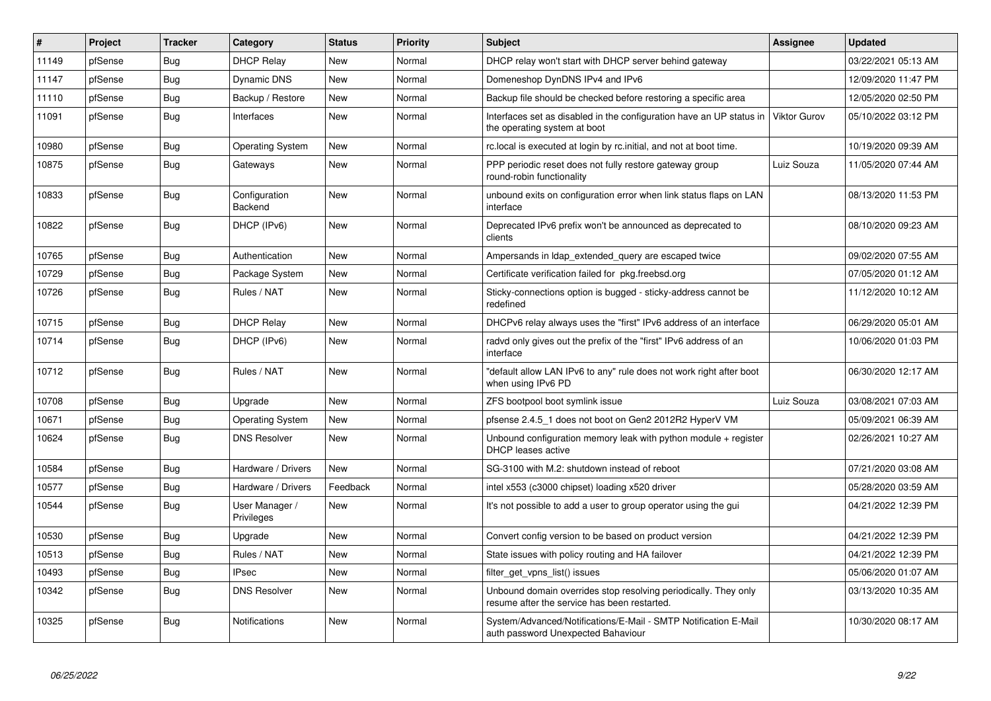| #     | Project | <b>Tracker</b> | Category                     | <b>Status</b> | Priority | <b>Subject</b>                                                                                                  | <b>Assignee</b> | <b>Updated</b>      |
|-------|---------|----------------|------------------------------|---------------|----------|-----------------------------------------------------------------------------------------------------------------|-----------------|---------------------|
| 11149 | pfSense | <b>Bug</b>     | <b>DHCP Relay</b>            | New           | Normal   | DHCP relay won't start with DHCP server behind gateway                                                          |                 | 03/22/2021 05:13 AM |
| 11147 | pfSense | <b>Bug</b>     | <b>Dynamic DNS</b>           | New           | Normal   | Domeneshop DynDNS IPv4 and IPv6                                                                                 |                 | 12/09/2020 11:47 PM |
| 11110 | pfSense | Bug            | Backup / Restore             | New           | Normal   | Backup file should be checked before restoring a specific area                                                  |                 | 12/05/2020 02:50 PM |
| 11091 | pfSense | Bug            | Interfaces                   | New           | Normal   | Interfaces set as disabled in the configuration have an UP status in<br>the operating system at boot            | Viktor Gurov    | 05/10/2022 03:12 PM |
| 10980 | pfSense | <b>Bug</b>     | Operating System             | <b>New</b>    | Normal   | rc.local is executed at login by rc.initial, and not at boot time.                                              |                 | 10/19/2020 09:39 AM |
| 10875 | pfSense | <b>Bug</b>     | Gateways                     | New           | Normal   | PPP periodic reset does not fully restore gateway group<br>round-robin functionality                            | Luiz Souza      | 11/05/2020 07:44 AM |
| 10833 | pfSense | <b>Bug</b>     | Configuration<br>Backend     | New           | Normal   | unbound exits on configuration error when link status flaps on LAN<br>interface                                 |                 | 08/13/2020 11:53 PM |
| 10822 | pfSense | Bug            | DHCP (IPv6)                  | New           | Normal   | Deprecated IPv6 prefix won't be announced as deprecated to<br>clients                                           |                 | 08/10/2020 09:23 AM |
| 10765 | pfSense | Bug            | Authentication               | <b>New</b>    | Normal   | Ampersands in Idap_extended_query are escaped twice                                                             |                 | 09/02/2020 07:55 AM |
| 10729 | pfSense | <b>Bug</b>     | Package System               | New           | Normal   | Certificate verification failed for pkg.freebsd.org                                                             |                 | 07/05/2020 01:12 AM |
| 10726 | pfSense | <b>Bug</b>     | Rules / NAT                  | New           | Normal   | Sticky-connections option is bugged - sticky-address cannot be<br>redefined                                     |                 | 11/12/2020 10:12 AM |
| 10715 | pfSense | Bug            | <b>DHCP Relay</b>            | New           | Normal   | DHCPv6 relay always uses the "first" IPv6 address of an interface                                               |                 | 06/29/2020 05:01 AM |
| 10714 | pfSense | <b>Bug</b>     | DHCP (IPv6)                  | <b>New</b>    | Normal   | radvd only gives out the prefix of the "first" IPv6 address of an<br>interface                                  |                 | 10/06/2020 01:03 PM |
| 10712 | pfSense | <b>Bug</b>     | Rules / NAT                  | <b>New</b>    | Normal   | "default allow LAN IPv6 to any" rule does not work right after boot<br>when using IPv6 PD                       |                 | 06/30/2020 12:17 AM |
| 10708 | pfSense | <b>Bug</b>     | Upgrade                      | <b>New</b>    | Normal   | ZFS bootpool boot symlink issue                                                                                 | Luiz Souza      | 03/08/2021 07:03 AM |
| 10671 | pfSense | Bug            | Operating System             | New           | Normal   | pfsense 2.4.5 1 does not boot on Gen2 2012R2 HyperV VM                                                          |                 | 05/09/2021 06:39 AM |
| 10624 | pfSense | <b>Bug</b>     | <b>DNS Resolver</b>          | <b>New</b>    | Normal   | Unbound configuration memory leak with python module $+$ register<br><b>DHCP</b> leases active                  |                 | 02/26/2021 10:27 AM |
| 10584 | pfSense | Bug            | Hardware / Drivers           | <b>New</b>    | Normal   | SG-3100 with M.2: shutdown instead of reboot                                                                    |                 | 07/21/2020 03:08 AM |
| 10577 | pfSense | <b>Bug</b>     | Hardware / Drivers           | Feedback      | Normal   | intel x553 (c3000 chipset) loading x520 driver                                                                  |                 | 05/28/2020 03:59 AM |
| 10544 | pfSense | <b>Bug</b>     | User Manager /<br>Privileges | <b>New</b>    | Normal   | It's not possible to add a user to group operator using the gui                                                 |                 | 04/21/2022 12:39 PM |
| 10530 | pfSense | <b>Bug</b>     | Upgrade                      | <b>New</b>    | Normal   | Convert config version to be based on product version                                                           |                 | 04/21/2022 12:39 PM |
| 10513 | pfSense | <b>Bug</b>     | Rules / NAT                  | New           | Normal   | State issues with policy routing and HA failover                                                                |                 | 04/21/2022 12:39 PM |
| 10493 | pfSense | <b>Bug</b>     | <b>IPsec</b>                 | New           | Normal   | filter_get_vpns_list() issues                                                                                   |                 | 05/06/2020 01:07 AM |
| 10342 | pfSense | <b>Bug</b>     | <b>DNS Resolver</b>          | New           | Normal   | Unbound domain overrides stop resolving periodically. They only<br>resume after the service has been restarted. |                 | 03/13/2020 10:35 AM |
| 10325 | pfSense | Bug            | Notifications                | <b>New</b>    | Normal   | System/Advanced/Notifications/E-Mail - SMTP Notification E-Mail<br>auth password Unexpected Bahaviour           |                 | 10/30/2020 08:17 AM |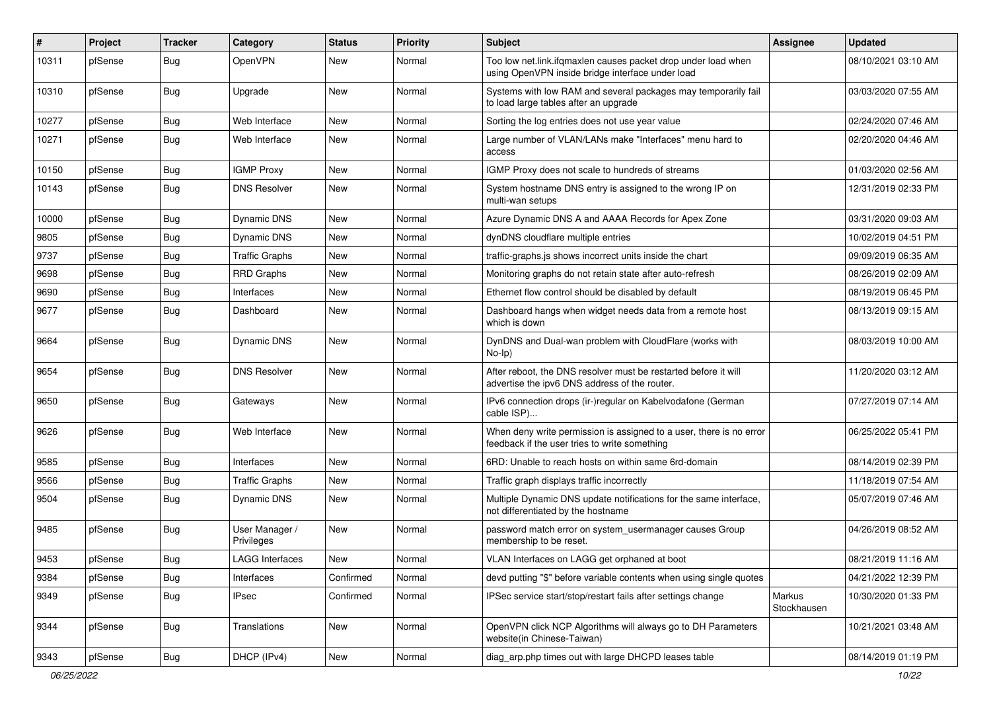| #     | Project | Tracker    | Category                     | <b>Status</b> | <b>Priority</b> | <b>Subject</b>                                                                                                       | Assignee              | <b>Updated</b>      |
|-------|---------|------------|------------------------------|---------------|-----------------|----------------------------------------------------------------------------------------------------------------------|-----------------------|---------------------|
| 10311 | pfSense | <b>Bug</b> | OpenVPN                      | New           | Normal          | Too low net.link.ifqmaxlen causes packet drop under load when<br>using OpenVPN inside bridge interface under load    |                       | 08/10/2021 03:10 AM |
| 10310 | pfSense | Bug        | Upgrade                      | New           | Normal          | Systems with low RAM and several packages may temporarily fail<br>to load large tables after an upgrade              |                       | 03/03/2020 07:55 AM |
| 10277 | pfSense | Bug        | Web Interface                | New           | Normal          | Sorting the log entries does not use year value                                                                      |                       | 02/24/2020 07:46 AM |
| 10271 | pfSense | <b>Bug</b> | Web Interface                | New           | Normal          | Large number of VLAN/LANs make "Interfaces" menu hard to<br>access                                                   |                       | 02/20/2020 04:46 AM |
| 10150 | pfSense | <b>Bug</b> | <b>IGMP Proxy</b>            | <b>New</b>    | Normal          | IGMP Proxy does not scale to hundreds of streams                                                                     |                       | 01/03/2020 02:56 AM |
| 10143 | pfSense | <b>Bug</b> | <b>DNS Resolver</b>          | New           | Normal          | System hostname DNS entry is assigned to the wrong IP on<br>multi-wan setups                                         |                       | 12/31/2019 02:33 PM |
| 10000 | pfSense | Bug        | Dynamic DNS                  | New           | Normal          | Azure Dynamic DNS A and AAAA Records for Apex Zone                                                                   |                       | 03/31/2020 09:03 AM |
| 9805  | pfSense | <b>Bug</b> | <b>Dynamic DNS</b>           | New           | Normal          | dynDNS cloudflare multiple entries                                                                                   |                       | 10/02/2019 04:51 PM |
| 9737  | pfSense | Bug        | <b>Traffic Graphs</b>        | New           | Normal          | traffic-graphs.js shows incorrect units inside the chart                                                             |                       | 09/09/2019 06:35 AM |
| 9698  | pfSense | <b>Bug</b> | RRD Graphs                   | New           | Normal          | Monitoring graphs do not retain state after auto-refresh                                                             |                       | 08/26/2019 02:09 AM |
| 9690  | pfSense | <b>Bug</b> | Interfaces                   | New           | Normal          | Ethernet flow control should be disabled by default                                                                  |                       | 08/19/2019 06:45 PM |
| 9677  | pfSense | <b>Bug</b> | Dashboard                    | New           | Normal          | Dashboard hangs when widget needs data from a remote host<br>which is down                                           |                       | 08/13/2019 09:15 AM |
| 9664  | pfSense | <b>Bug</b> | Dynamic DNS                  | New           | Normal          | DynDNS and Dual-wan problem with CloudFlare (works with<br>No-Ip)                                                    |                       | 08/03/2019 10:00 AM |
| 9654  | pfSense | <b>Bug</b> | <b>DNS Resolver</b>          | New           | Normal          | After reboot, the DNS resolver must be restarted before it will<br>advertise the ipv6 DNS address of the router.     |                       | 11/20/2020 03:12 AM |
| 9650  | pfSense | Bug        | Gateways                     | New           | Normal          | IPv6 connection drops (ir-)regular on Kabelvodafone (German<br>cable ISP)                                            |                       | 07/27/2019 07:14 AM |
| 9626  | pfSense | Bug        | Web Interface                | <b>New</b>    | Normal          | When deny write permission is assigned to a user, there is no error<br>feedback if the user tries to write something |                       | 06/25/2022 05:41 PM |
| 9585  | pfSense | Bug        | Interfaces                   | New           | Normal          | 6RD: Unable to reach hosts on within same 6rd-domain                                                                 |                       | 08/14/2019 02:39 PM |
| 9566  | pfSense | <b>Bug</b> | <b>Traffic Graphs</b>        | New           | Normal          | Traffic graph displays traffic incorrectly                                                                           |                       | 11/18/2019 07:54 AM |
| 9504  | pfSense | <b>Bug</b> | Dynamic DNS                  | New           | Normal          | Multiple Dynamic DNS update notifications for the same interface,<br>not differentiated by the hostname              |                       | 05/07/2019 07:46 AM |
| 9485  | pfSense | <b>Bug</b> | User Manager /<br>Privileges | New           | Normal          | password match error on system_usermanager causes Group<br>membership to be reset.                                   |                       | 04/26/2019 08:52 AM |
| 9453  | pfSense | i Bug      | <b>LAGG Interfaces</b>       | New           | Normal          | VLAN Interfaces on LAGG get orphaned at boot                                                                         |                       | 08/21/2019 11:16 AM |
| 9384  | pfSense | Bug        | Interfaces                   | Confirmed     | Normal          | devd putting "\$" before variable contents when using single quotes                                                  |                       | 04/21/2022 12:39 PM |
| 9349  | pfSense | Bug        | <b>IPsec</b>                 | Confirmed     | Normal          | IPSec service start/stop/restart fails after settings change                                                         | Markus<br>Stockhausen | 10/30/2020 01:33 PM |
| 9344  | pfSense | Bug        | Translations                 | New           | Normal          | OpenVPN click NCP Algorithms will always go to DH Parameters<br>website(in Chinese-Taiwan)                           |                       | 10/21/2021 03:48 AM |
| 9343  | pfSense | Bug        | DHCP (IPv4)                  | New           | Normal          | diag_arp.php times out with large DHCPD leases table                                                                 |                       | 08/14/2019 01:19 PM |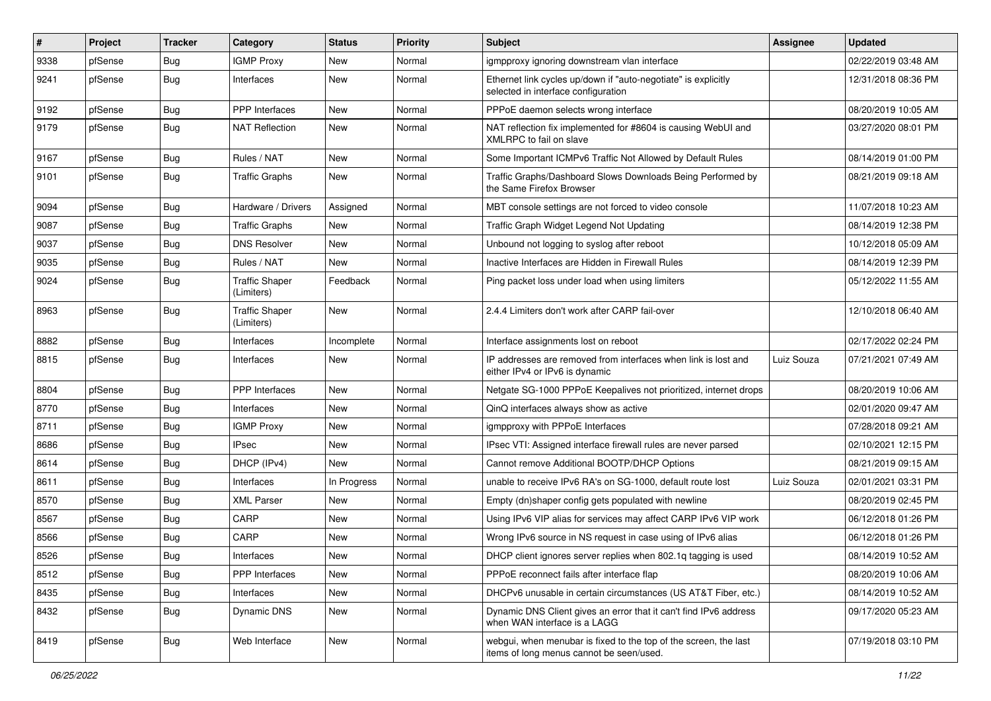| #    | Project | Tracker    | Category                            | <b>Status</b> | <b>Priority</b> | <b>Subject</b>                                                                                               | Assignee   | <b>Updated</b>      |
|------|---------|------------|-------------------------------------|---------------|-----------------|--------------------------------------------------------------------------------------------------------------|------------|---------------------|
| 9338 | pfSense | <b>Bug</b> | <b>IGMP Proxy</b>                   | New           | Normal          | igmpproxy ignoring downstream vlan interface                                                                 |            | 02/22/2019 03:48 AM |
| 9241 | pfSense | Bug        | Interfaces                          | New           | Normal          | Ethernet link cycles up/down if "auto-negotiate" is explicitly<br>selected in interface configuration        |            | 12/31/2018 08:36 PM |
| 9192 | pfSense | Bug        | PPP Interfaces                      | New           | Normal          | PPPoE daemon selects wrong interface                                                                         |            | 08/20/2019 10:05 AM |
| 9179 | pfSense | <b>Bug</b> | <b>NAT Reflection</b>               | New           | Normal          | NAT reflection fix implemented for #8604 is causing WebUI and<br>XMLRPC to fail on slave                     |            | 03/27/2020 08:01 PM |
| 9167 | pfSense | <b>Bug</b> | Rules / NAT                         | New           | Normal          | Some Important ICMPv6 Traffic Not Allowed by Default Rules                                                   |            | 08/14/2019 01:00 PM |
| 9101 | pfSense | <b>Bug</b> | <b>Traffic Graphs</b>               | New           | Normal          | Traffic Graphs/Dashboard Slows Downloads Being Performed by<br>the Same Firefox Browser                      |            | 08/21/2019 09:18 AM |
| 9094 | pfSense | Bug        | Hardware / Drivers                  | Assigned      | Normal          | MBT console settings are not forced to video console                                                         |            | 11/07/2018 10:23 AM |
| 9087 | pfSense | <b>Bug</b> | <b>Traffic Graphs</b>               | New           | Normal          | Traffic Graph Widget Legend Not Updating                                                                     |            | 08/14/2019 12:38 PM |
| 9037 | pfSense | Bug        | <b>DNS Resolver</b>                 | New           | Normal          | Unbound not logging to syslog after reboot                                                                   |            | 10/12/2018 05:09 AM |
| 9035 | pfSense | <b>Bug</b> | Rules / NAT                         | <b>New</b>    | Normal          | Inactive Interfaces are Hidden in Firewall Rules                                                             |            | 08/14/2019 12:39 PM |
| 9024 | pfSense | <b>Bug</b> | <b>Traffic Shaper</b><br>(Limiters) | Feedback      | Normal          | Ping packet loss under load when using limiters                                                              |            | 05/12/2022 11:55 AM |
| 8963 | pfSense | <b>Bug</b> | <b>Traffic Shaper</b><br>(Limiters) | <b>New</b>    | Normal          | 2.4.4 Limiters don't work after CARP fail-over                                                               |            | 12/10/2018 06:40 AM |
| 8882 | pfSense | <b>Bug</b> | Interfaces                          | Incomplete    | Normal          | Interface assignments lost on reboot                                                                         |            | 02/17/2022 02:24 PM |
| 8815 | pfSense | Bug        | Interfaces                          | New           | Normal          | IP addresses are removed from interfaces when link is lost and<br>either IPv4 or IPv6 is dynamic             | Luiz Souza | 07/21/2021 07:49 AM |
| 8804 | pfSense | Bug        | PPP Interfaces                      | <b>New</b>    | Normal          | Netgate SG-1000 PPPoE Keepalives not prioritized, internet drops                                             |            | 08/20/2019 10:06 AM |
| 8770 | pfSense | <b>Bug</b> | Interfaces                          | <b>New</b>    | Normal          | QinQ interfaces always show as active                                                                        |            | 02/01/2020 09:47 AM |
| 8711 | pfSense | Bug        | <b>IGMP Proxy</b>                   | New           | Normal          | igmpproxy with PPPoE Interfaces                                                                              |            | 07/28/2018 09:21 AM |
| 8686 | pfSense | <b>Bug</b> | <b>IPsec</b>                        | New           | Normal          | IPsec VTI: Assigned interface firewall rules are never parsed                                                |            | 02/10/2021 12:15 PM |
| 8614 | pfSense | <b>Bug</b> | DHCP (IPv4)                         | New           | Normal          | Cannot remove Additional BOOTP/DHCP Options                                                                  |            | 08/21/2019 09:15 AM |
| 8611 | pfSense | <b>Bug</b> | Interfaces                          | In Progress   | Normal          | unable to receive IPv6 RA's on SG-1000, default route lost                                                   | Luiz Souza | 02/01/2021 03:31 PM |
| 8570 | pfSense | <b>Bug</b> | <b>XML Parser</b>                   | New           | Normal          | Empty (dn)shaper config gets populated with newline                                                          |            | 08/20/2019 02:45 PM |
| 8567 | pfSense | Bug        | CARP                                | New           | Normal          | Using IPv6 VIP alias for services may affect CARP IPv6 VIP work                                              |            | 06/12/2018 01:26 PM |
| 8566 | pfSense | <b>Bug</b> | CARP                                | New           | Normal          | Wrong IPv6 source in NS request in case using of IPv6 alias                                                  |            | 06/12/2018 01:26 PM |
| 8526 | pfSense | Bug        | Interfaces                          | New           | Normal          | DHCP client ignores server replies when 802.1g tagging is used                                               |            | 08/14/2019 10:52 AM |
| 8512 | pfSense | <b>Bug</b> | <b>PPP</b> Interfaces               | New           | Normal          | PPPoE reconnect fails after interface flap                                                                   |            | 08/20/2019 10:06 AM |
| 8435 | pfSense | Bug        | Interfaces                          | New           | Normal          | DHCPv6 unusable in certain circumstances (US AT&T Fiber, etc.)                                               |            | 08/14/2019 10:52 AM |
| 8432 | pfSense | Bug        | Dynamic DNS                         | New           | Normal          | Dynamic DNS Client gives an error that it can't find IPv6 address<br>when WAN interface is a LAGG            |            | 09/17/2020 05:23 AM |
| 8419 | pfSense | <b>Bug</b> | Web Interface                       | New           | Normal          | webgui, when menubar is fixed to the top of the screen, the last<br>items of long menus cannot be seen/used. |            | 07/19/2018 03:10 PM |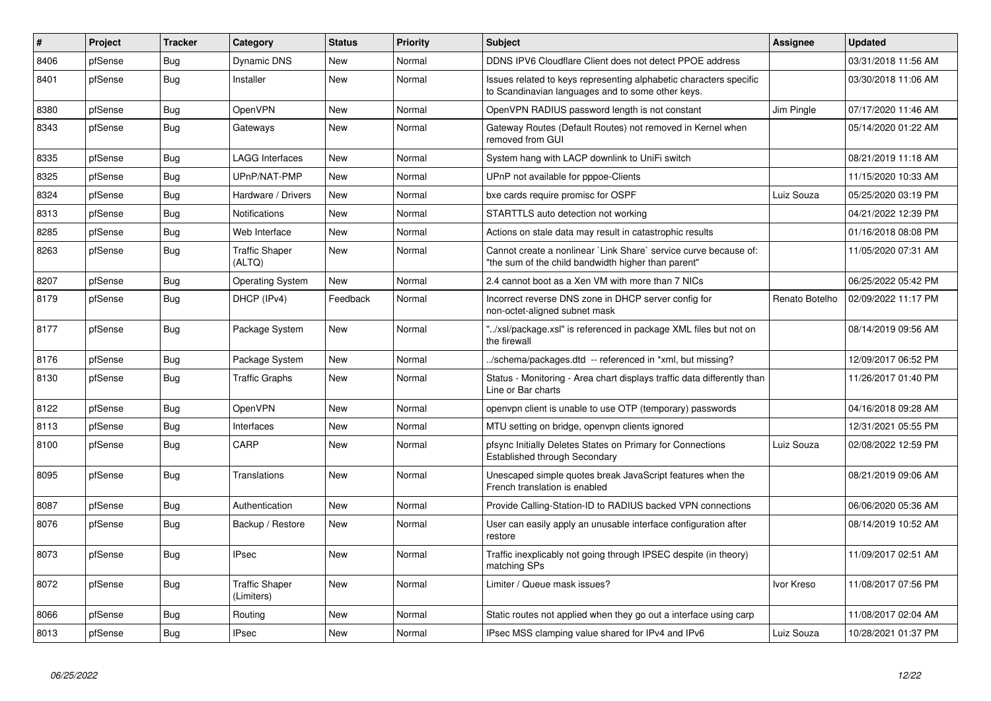| #    | Project | <b>Tracker</b> | Category                            | <b>Status</b> | <b>Priority</b> | <b>Subject</b>                                                                                                          | Assignee       | <b>Updated</b>      |
|------|---------|----------------|-------------------------------------|---------------|-----------------|-------------------------------------------------------------------------------------------------------------------------|----------------|---------------------|
| 8406 | pfSense | Bug            | <b>Dynamic DNS</b>                  | <b>New</b>    | Normal          | DDNS IPV6 Cloudflare Client does not detect PPOE address                                                                |                | 03/31/2018 11:56 AM |
| 8401 | pfSense | Bug            | Installer                           | <b>New</b>    | Normal          | Issues related to keys representing alphabetic characters specific<br>to Scandinavian languages and to some other keys. |                | 03/30/2018 11:06 AM |
| 8380 | pfSense | <b>Bug</b>     | OpenVPN                             | <b>New</b>    | Normal          | OpenVPN RADIUS password length is not constant                                                                          | Jim Pingle     | 07/17/2020 11:46 AM |
| 8343 | pfSense | <b>Bug</b>     | Gateways                            | <b>New</b>    | Normal          | Gateway Routes (Default Routes) not removed in Kernel when<br>removed from GUI                                          |                | 05/14/2020 01:22 AM |
| 8335 | pfSense | Bug            | <b>LAGG Interfaces</b>              | <b>New</b>    | Normal          | System hang with LACP downlink to UniFi switch                                                                          |                | 08/21/2019 11:18 AM |
| 8325 | pfSense | Bug            | UPnP/NAT-PMP                        | <b>New</b>    | Normal          | UPnP not available for pppoe-Clients                                                                                    |                | 11/15/2020 10:33 AM |
| 8324 | pfSense | Bug            | Hardware / Drivers                  | New           | Normal          | bxe cards require promisc for OSPF                                                                                      | Luiz Souza     | 05/25/2020 03:19 PM |
| 8313 | pfSense | <b>Bug</b>     | <b>Notifications</b>                | <b>New</b>    | Normal          | STARTTLS auto detection not working                                                                                     |                | 04/21/2022 12:39 PM |
| 8285 | pfSense | Bug            | Web Interface                       | <b>New</b>    | Normal          | Actions on stale data may result in catastrophic results                                                                |                | 01/16/2018 08:08 PM |
| 8263 | pfSense | <b>Bug</b>     | <b>Traffic Shaper</b><br>(ALTQ)     | <b>New</b>    | Normal          | Cannot create a nonlinear `Link Share` service curve because of:<br>"the sum of the child bandwidth higher than parent" |                | 11/05/2020 07:31 AM |
| 8207 | pfSense | <b>Bug</b>     | <b>Operating System</b>             | <b>New</b>    | Normal          | 2.4 cannot boot as a Xen VM with more than 7 NICs                                                                       |                | 06/25/2022 05:42 PM |
| 8179 | pfSense | Bug            | DHCP (IPv4)                         | Feedback      | Normal          | Incorrect reverse DNS zone in DHCP server config for<br>non-octet-aligned subnet mask                                   | Renato Botelho | 02/09/2022 11:17 PM |
| 8177 | pfSense | Bug            | Package System                      | New           | Normal          | "/xsl/package.xsl" is referenced in package XML files but not on<br>the firewall                                        |                | 08/14/2019 09:56 AM |
| 8176 | pfSense | Bug            | Package System                      | New           | Normal          | ./schema/packages.dtd -- referenced in *xml, but missing?                                                               |                | 12/09/2017 06:52 PM |
| 8130 | pfSense | Bug            | <b>Traffic Graphs</b>               | <b>New</b>    | Normal          | Status - Monitoring - Area chart displays traffic data differently than<br>Line or Bar charts                           |                | 11/26/2017 01:40 PM |
| 8122 | pfSense | <b>Bug</b>     | OpenVPN                             | <b>New</b>    | Normal          | openvpn client is unable to use OTP (temporary) passwords                                                               |                | 04/16/2018 09:28 AM |
| 8113 | pfSense | <b>Bug</b>     | Interfaces                          | <b>New</b>    | Normal          | MTU setting on bridge, openvpn clients ignored                                                                          |                | 12/31/2021 05:55 PM |
| 8100 | pfSense | Bug            | CARP                                | <b>New</b>    | Normal          | pfsync Initially Deletes States on Primary for Connections<br>Established through Secondary                             | Luiz Souza     | 02/08/2022 12:59 PM |
| 8095 | pfSense | Bug            | Translations                        | New           | Normal          | Unescaped simple quotes break JavaScript features when the<br>French translation is enabled                             |                | 08/21/2019 09:06 AM |
| 8087 | pfSense | Bug            | Authentication                      | <b>New</b>    | Normal          | Provide Calling-Station-ID to RADIUS backed VPN connections                                                             |                | 06/06/2020 05:36 AM |
| 8076 | pfSense | <b>Bug</b>     | Backup / Restore                    | <b>New</b>    | Normal          | User can easily apply an unusable interface configuration after<br>restore                                              |                | 08/14/2019 10:52 AM |
| 8073 | pfSense | Bug            | <b>IPsec</b>                        | <b>New</b>    | Normal          | Traffic inexplicably not going through IPSEC despite (in theory)<br>matching SPs                                        |                | 11/09/2017 02:51 AM |
| 8072 | pfSense | Bug            | <b>Traffic Shaper</b><br>(Limiters) | <b>New</b>    | Normal          | Limiter / Queue mask issues?                                                                                            | Ivor Kreso     | 11/08/2017 07:56 PM |
| 8066 | pfSense | <b>Bug</b>     | Routing                             | <b>New</b>    | Normal          | Static routes not applied when they go out a interface using carp                                                       |                | 11/08/2017 02:04 AM |
| 8013 | pfSense | Bug            | <b>IPsec</b>                        | <b>New</b>    | Normal          | IPsec MSS clamping value shared for IPv4 and IPv6                                                                       | Luiz Souza     | 10/28/2021 01:37 PM |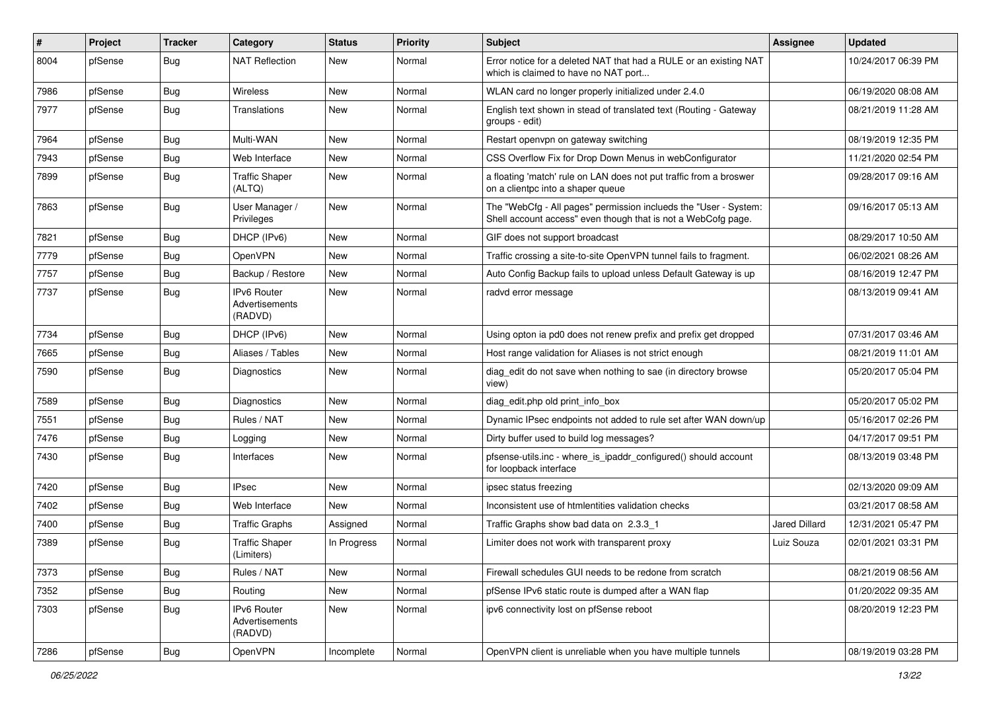| $\vert$ # | Project | <b>Tracker</b> | Category                                 | <b>Status</b> | <b>Priority</b> | <b>Subject</b>                                                                                                                    | <b>Assignee</b>      | <b>Updated</b>      |
|-----------|---------|----------------|------------------------------------------|---------------|-----------------|-----------------------------------------------------------------------------------------------------------------------------------|----------------------|---------------------|
| 8004      | pfSense | <b>Bug</b>     | <b>NAT Reflection</b>                    | New           | Normal          | Error notice for a deleted NAT that had a RULE or an existing NAT<br>which is claimed to have no NAT port                         |                      | 10/24/2017 06:39 PM |
| 7986      | pfSense | Bug            | Wireless                                 | New           | Normal          | WLAN card no longer properly initialized under 2.4.0                                                                              |                      | 06/19/2020 08:08 AM |
| 7977      | pfSense | Bug            | Translations                             | New           | Normal          | English text shown in stead of translated text (Routing - Gateway<br>groups - edit)                                               |                      | 08/21/2019 11:28 AM |
| 7964      | pfSense | Bug            | Multi-WAN                                | New           | Normal          | Restart openvpn on gateway switching                                                                                              |                      | 08/19/2019 12:35 PM |
| 7943      | pfSense | Bug            | Web Interface                            | New           | Normal          | CSS Overflow Fix for Drop Down Menus in webConfigurator                                                                           |                      | 11/21/2020 02:54 PM |
| 7899      | pfSense | Bug            | <b>Traffic Shaper</b><br>(ALTQ)          | New           | Normal          | a floating 'match' rule on LAN does not put traffic from a broswer<br>on a clientpc into a shaper queue                           |                      | 09/28/2017 09:16 AM |
| 7863      | pfSense | Bug            | User Manager /<br>Privileges             | New           | Normal          | The "WebCfg - All pages" permission inclueds the "User - System:<br>Shell account access" even though that is not a WebCofg page. |                      | 09/16/2017 05:13 AM |
| 7821      | pfSense | Bug            | DHCP (IPv6)                              | <b>New</b>    | Normal          | GIF does not support broadcast                                                                                                    |                      | 08/29/2017 10:50 AM |
| 7779      | pfSense | <b>Bug</b>     | OpenVPN                                  | <b>New</b>    | Normal          | Traffic crossing a site-to-site OpenVPN tunnel fails to fragment.                                                                 |                      | 06/02/2021 08:26 AM |
| 7757      | pfSense | Bug            | Backup / Restore                         | New           | Normal          | Auto Config Backup fails to upload unless Default Gateway is up                                                                   |                      | 08/16/2019 12:47 PM |
| 7737      | pfSense | <b>Bug</b>     | IPv6 Router<br>Advertisements<br>(RADVD) | New           | Normal          | radvd error message                                                                                                               |                      | 08/13/2019 09:41 AM |
| 7734      | pfSense | Bug            | DHCP (IPv6)                              | <b>New</b>    | Normal          | Using opton ia pd0 does not renew prefix and prefix get dropped                                                                   |                      | 07/31/2017 03:46 AM |
| 7665      | pfSense | Bug            | Aliases / Tables                         | <b>New</b>    | Normal          | Host range validation for Aliases is not strict enough                                                                            |                      | 08/21/2019 11:01 AM |
| 7590      | pfSense | Bug            | Diagnostics                              | New           | Normal          | diag edit do not save when nothing to sae (in directory browse<br>view)                                                           |                      | 05/20/2017 05:04 PM |
| 7589      | pfSense | Bug            | Diagnostics                              | New           | Normal          | diag edit.php old print info box                                                                                                  |                      | 05/20/2017 05:02 PM |
| 7551      | pfSense | Bug            | Rules / NAT                              | <b>New</b>    | Normal          | Dynamic IPsec endpoints not added to rule set after WAN down/up                                                                   |                      | 05/16/2017 02:26 PM |
| 7476      | pfSense | Bug            | Logging                                  | New           | Normal          | Dirty buffer used to build log messages?                                                                                          |                      | 04/17/2017 09:51 PM |
| 7430      | pfSense | <b>Bug</b>     | Interfaces                               | New           | Normal          | pfsense-utils.inc - where_is_ipaddr_configured() should account<br>for loopback interface                                         |                      | 08/13/2019 03:48 PM |
| 7420      | pfSense | Bug            | <b>IPsec</b>                             | <b>New</b>    | Normal          | ipsec status freezing                                                                                                             |                      | 02/13/2020 09:09 AM |
| 7402      | pfSense | Bug            | Web Interface                            | New           | Normal          | Inconsistent use of htmlentities validation checks                                                                                |                      | 03/21/2017 08:58 AM |
| 7400      | pfSense | Bug            | <b>Traffic Graphs</b>                    | Assigned      | Normal          | Traffic Graphs show bad data on 2.3.3 1                                                                                           | <b>Jared Dillard</b> | 12/31/2021 05:47 PM |
| 7389      | pfSense | Bug            | <b>Traffic Shaper</b><br>(Limiters)      | In Progress   | Normal          | Limiter does not work with transparent proxy                                                                                      | Luiz Souza           | 02/01/2021 03:31 PM |
| 7373      | pfSense | Bug            | Rules / NAT                              | New           | Normal          | Firewall schedules GUI needs to be redone from scratch                                                                            |                      | 08/21/2019 08:56 AM |
| 7352      | pfSense | <b>Bug</b>     | Routing                                  | New           | Normal          | pfSense IPv6 static route is dumped after a WAN flap                                                                              |                      | 01/20/2022 09:35 AM |
| 7303      | pfSense | Bug            | IPv6 Router<br>Advertisements<br>(RADVD) | New           | Normal          | ipv6 connectivity lost on pfSense reboot                                                                                          |                      | 08/20/2019 12:23 PM |
| 7286      | pfSense | Bug            | OpenVPN                                  | Incomplete    | Normal          | OpenVPN client is unreliable when you have multiple tunnels                                                                       |                      | 08/19/2019 03:28 PM |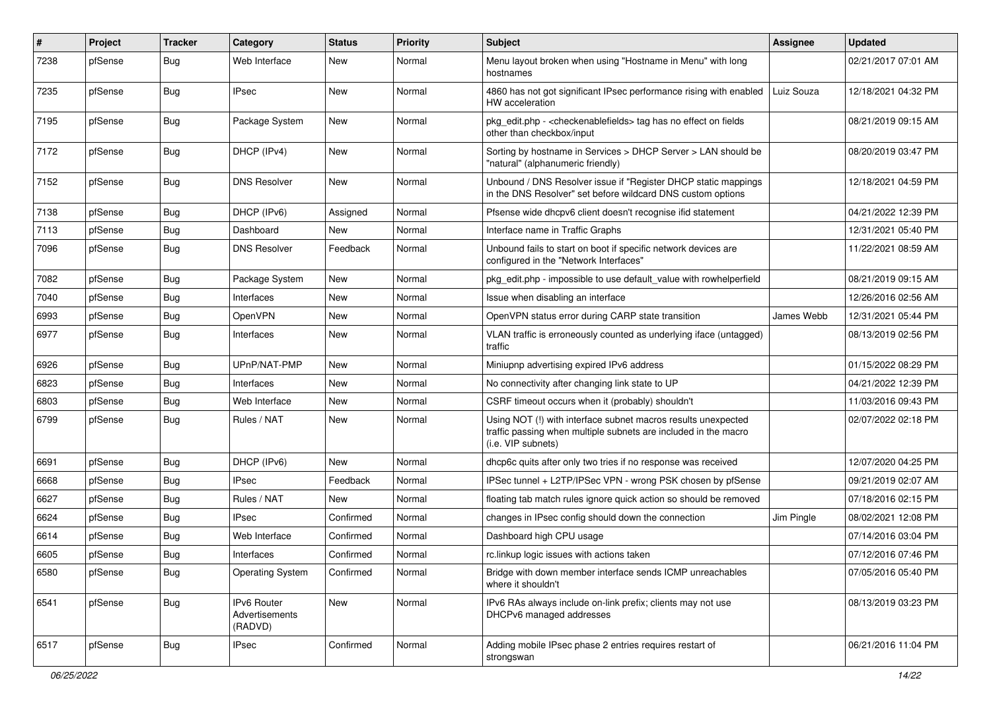| $\#$ | Project | <b>Tracker</b> | Category                                 | <b>Status</b> | <b>Priority</b> | <b>Subject</b>                                                                                                                                         | <b>Assignee</b> | <b>Updated</b>      |
|------|---------|----------------|------------------------------------------|---------------|-----------------|--------------------------------------------------------------------------------------------------------------------------------------------------------|-----------------|---------------------|
| 7238 | pfSense | Bug            | Web Interface                            | New           | Normal          | Menu layout broken when using "Hostname in Menu" with long<br>hostnames                                                                                |                 | 02/21/2017 07:01 AM |
| 7235 | pfSense | Bug            | <b>IPsec</b>                             | New           | Normal          | 4860 has not got significant IPsec performance rising with enabled<br>HW acceleration                                                                  | Luiz Souza      | 12/18/2021 04:32 PM |
| 7195 | pfSense | Bug            | Package System                           | <b>New</b>    | Normal          | pkg_edit.php - < checkenable fields > tag has no effect on fields<br>other than checkbox/input                                                         |                 | 08/21/2019 09:15 AM |
| 7172 | pfSense | Bug            | DHCP (IPv4)                              | <b>New</b>    | Normal          | Sorting by hostname in Services > DHCP Server > LAN should be<br>"natural" (alphanumeric friendly)                                                     |                 | 08/20/2019 03:47 PM |
| 7152 | pfSense | Bug            | <b>DNS Resolver</b>                      | <b>New</b>    | Normal          | Unbound / DNS Resolver issue if "Register DHCP static mappings<br>in the DNS Resolver" set before wildcard DNS custom options                          |                 | 12/18/2021 04:59 PM |
| 7138 | pfSense | Bug            | DHCP (IPv6)                              | Assigned      | Normal          | Pfsense wide dhcpv6 client doesn't recognise ifid statement                                                                                            |                 | 04/21/2022 12:39 PM |
| 7113 | pfSense | <b>Bug</b>     | Dashboard                                | New           | Normal          | Interface name in Traffic Graphs                                                                                                                       |                 | 12/31/2021 05:40 PM |
| 7096 | pfSense | Bug            | <b>DNS Resolver</b>                      | Feedback      | Normal          | Unbound fails to start on boot if specific network devices are<br>configured in the "Network Interfaces"                                               |                 | 11/22/2021 08:59 AM |
| 7082 | pfSense | <b>Bug</b>     | Package System                           | <b>New</b>    | Normal          | pkg_edit.php - impossible to use default_value with rowhelperfield                                                                                     |                 | 08/21/2019 09:15 AM |
| 7040 | pfSense | Bug            | Interfaces                               | <b>New</b>    | Normal          | Issue when disabling an interface                                                                                                                      |                 | 12/26/2016 02:56 AM |
| 6993 | pfSense | <b>Bug</b>     | <b>OpenVPN</b>                           | New           | Normal          | OpenVPN status error during CARP state transition                                                                                                      | James Webb      | 12/31/2021 05:44 PM |
| 6977 | pfSense | Bug            | Interfaces                               | New           | Normal          | VLAN traffic is erroneously counted as underlying iface (untagged)<br>traffic                                                                          |                 | 08/13/2019 02:56 PM |
| 6926 | pfSense | <b>Bug</b>     | UPnP/NAT-PMP                             | New           | Normal          | Miniupnp advertising expired IPv6 address                                                                                                              |                 | 01/15/2022 08:29 PM |
| 6823 | pfSense | <b>Bug</b>     | Interfaces                               | <b>New</b>    | Normal          | No connectivity after changing link state to UP                                                                                                        |                 | 04/21/2022 12:39 PM |
| 6803 | pfSense | <b>Bug</b>     | Web Interface                            | New           | Normal          | CSRF timeout occurs when it (probably) shouldn't                                                                                                       |                 | 11/03/2016 09:43 PM |
| 6799 | pfSense | Bug            | Rules / NAT                              | <b>New</b>    | Normal          | Using NOT (!) with interface subnet macros results unexpected<br>traffic passing when multiple subnets are included in the macro<br>(i.e. VIP subnets) |                 | 02/07/2022 02:18 PM |
| 6691 | pfSense | Bug            | DHCP (IPv6)                              | <b>New</b>    | Normal          | dhcp6c quits after only two tries if no response was received                                                                                          |                 | 12/07/2020 04:25 PM |
| 6668 | pfSense | Bug            | <b>IPsec</b>                             | Feedback      | Normal          | IPSec tunnel + L2TP/IPSec VPN - wrong PSK chosen by pfSense                                                                                            |                 | 09/21/2019 02:07 AM |
| 6627 | pfSense | Bug            | Rules / NAT                              | New           | Normal          | floating tab match rules ignore quick action so should be removed                                                                                      |                 | 07/18/2016 02:15 PM |
| 6624 | pfSense | <b>Bug</b>     | <b>IPsec</b>                             | Confirmed     | Normal          | changes in IPsec config should down the connection                                                                                                     | Jim Pingle      | 08/02/2021 12:08 PM |
| 6614 | pfSense | Bug            | Web Interface                            | Confirmed     | Normal          | Dashboard high CPU usage                                                                                                                               |                 | 07/14/2016 03:04 PM |
| 6605 | pfSense | <b>Bug</b>     | Interfaces                               | Confirmed     | Normal          | rc.linkup logic issues with actions taken                                                                                                              |                 | 07/12/2016 07:46 PM |
| 6580 | pfSense | Bug            | <b>Operating System</b>                  | Confirmed     | Normal          | Bridge with down member interface sends ICMP unreachables<br>where it shouldn't                                                                        |                 | 07/05/2016 05:40 PM |
| 6541 | pfSense | Bug            | IPv6 Router<br>Advertisements<br>(RADVD) | New           | Normal          | IPv6 RAs always include on-link prefix; clients may not use<br>DHCPv6 managed addresses                                                                |                 | 08/13/2019 03:23 PM |
| 6517 | pfSense | Bug            | <b>IPsec</b>                             | Confirmed     | Normal          | Adding mobile IPsec phase 2 entries requires restart of<br>strongswan                                                                                  |                 | 06/21/2016 11:04 PM |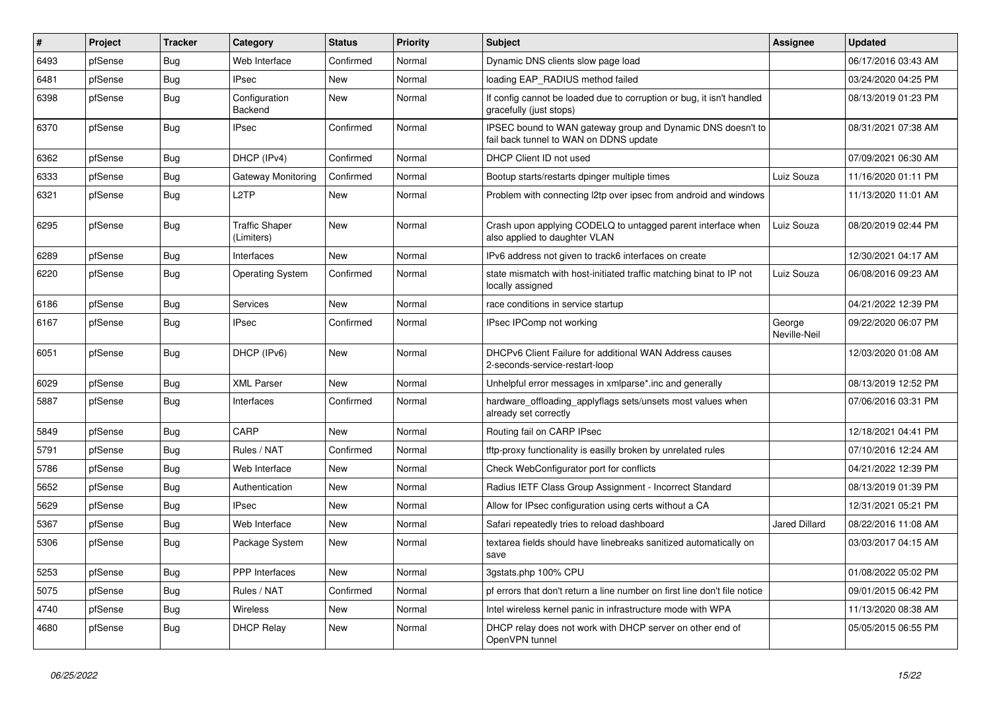| #    | Project | <b>Tracker</b> | Category                            | <b>Status</b> | <b>Priority</b> | <b>Subject</b>                                                                                        | Assignee               | <b>Updated</b>      |
|------|---------|----------------|-------------------------------------|---------------|-----------------|-------------------------------------------------------------------------------------------------------|------------------------|---------------------|
| 6493 | pfSense | Bug            | Web Interface                       | Confirmed     | Normal          | Dynamic DNS clients slow page load                                                                    |                        | 06/17/2016 03:43 AM |
| 6481 | pfSense | Bug            | <b>IPsec</b>                        | <b>New</b>    | Normal          | loading EAP RADIUS method failed                                                                      |                        | 03/24/2020 04:25 PM |
| 6398 | pfSense | Bug            | Configuration<br>Backend            | <b>New</b>    | Normal          | If config cannot be loaded due to corruption or bug, it isn't handled<br>gracefully (just stops)      |                        | 08/13/2019 01:23 PM |
| 6370 | pfSense | Bug            | <b>IPsec</b>                        | Confirmed     | Normal          | IPSEC bound to WAN gateway group and Dynamic DNS doesn't to<br>fail back tunnel to WAN on DDNS update |                        | 08/31/2021 07:38 AM |
| 6362 | pfSense | <b>Bug</b>     | DHCP (IPv4)                         | Confirmed     | Normal          | DHCP Client ID not used                                                                               |                        | 07/09/2021 06:30 AM |
| 6333 | pfSense | Bug            | Gateway Monitoring                  | Confirmed     | Normal          | Bootup starts/restarts dpinger multiple times                                                         | Luiz Souza             | 11/16/2020 01:11 PM |
| 6321 | pfSense | Bug            | L <sub>2</sub> TP                   | <b>New</b>    | Normal          | Problem with connecting 12tp over ipsec from android and windows                                      |                        | 11/13/2020 11:01 AM |
| 6295 | pfSense | Bug            | <b>Traffic Shaper</b><br>(Limiters) | <b>New</b>    | Normal          | Crash upon applying CODELQ to untagged parent interface when<br>also applied to daughter VLAN         | Luiz Souza             | 08/20/2019 02:44 PM |
| 6289 | pfSense | <b>Bug</b>     | Interfaces                          | <b>New</b>    | Normal          | IPv6 address not given to track6 interfaces on create                                                 |                        | 12/30/2021 04:17 AM |
| 6220 | pfSense | <b>Bug</b>     | <b>Operating System</b>             | Confirmed     | Normal          | state mismatch with host-initiated traffic matching binat to IP not<br>locally assigned               | Luiz Souza             | 06/08/2016 09:23 AM |
| 6186 | pfSense | Bug            | Services                            | New           | Normal          | race conditions in service startup                                                                    |                        | 04/21/2022 12:39 PM |
| 6167 | pfSense | Bug            | <b>IPsec</b>                        | Confirmed     | Normal          | IPsec IPComp not working                                                                              | George<br>Neville-Neil | 09/22/2020 06:07 PM |
| 6051 | pfSense | Bug            | DHCP (IPv6)                         | <b>New</b>    | Normal          | DHCPv6 Client Failure for additional WAN Address causes<br>2-seconds-service-restart-loop             |                        | 12/03/2020 01:08 AM |
| 6029 | pfSense | Bug            | <b>XML Parser</b>                   | <b>New</b>    | Normal          | Unhelpful error messages in xmlparse* inc and generally                                               |                        | 08/13/2019 12:52 PM |
| 5887 | pfSense | Bug            | Interfaces                          | Confirmed     | Normal          | hardware_offloading_applyflags sets/unsets most values when<br>already set correctly                  |                        | 07/06/2016 03:31 PM |
| 5849 | pfSense | <b>Bug</b>     | CARP                                | <b>New</b>    | Normal          | Routing fail on CARP IPsec                                                                            |                        | 12/18/2021 04:41 PM |
| 5791 | pfSense | Bug            | Rules / NAT                         | Confirmed     | Normal          | tftp-proxy functionality is easilly broken by unrelated rules                                         |                        | 07/10/2016 12:24 AM |
| 5786 | pfSense | Bug            | Web Interface                       | New           | Normal          | Check WebConfigurator port for conflicts                                                              |                        | 04/21/2022 12:39 PM |
| 5652 | pfSense | <b>Bug</b>     | Authentication                      | <b>New</b>    | Normal          | Radius IETF Class Group Assignment - Incorrect Standard                                               |                        | 08/13/2019 01:39 PM |
| 5629 | pfSense | Bug            | <b>IPsec</b>                        | <b>New</b>    | Normal          | Allow for IPsec configuration using certs without a CA                                                |                        | 12/31/2021 05:21 PM |
| 5367 | pfSense | Bug            | Web Interface                       | <b>New</b>    | Normal          | Safari repeatedly tries to reload dashboard                                                           | Jared Dillard          | 08/22/2016 11:08 AM |
| 5306 | pfSense | <b>Bug</b>     | Package System                      | New           | Normal          | textarea fields should have linebreaks sanitized automatically on<br>save                             |                        | 03/03/2017 04:15 AM |
| 5253 | pfSense | <b>Bug</b>     | <b>PPP</b> Interfaces               | <b>New</b>    | Normal          | 3gstats.php 100% CPU                                                                                  |                        | 01/08/2022 05:02 PM |
| 5075 | pfSense | Bug            | Rules / NAT                         | Confirmed     | Normal          | pf errors that don't return a line number on first line don't file notice                             |                        | 09/01/2015 06:42 PM |
| 4740 | pfSense | <b>Bug</b>     | Wireless                            | New           | Normal          | Intel wireless kernel panic in infrastructure mode with WPA                                           |                        | 11/13/2020 08:38 AM |
| 4680 | pfSense | Bug            | <b>DHCP Relay</b>                   | <b>New</b>    | Normal          | DHCP relay does not work with DHCP server on other end of<br>OpenVPN tunnel                           |                        | 05/05/2015 06:55 PM |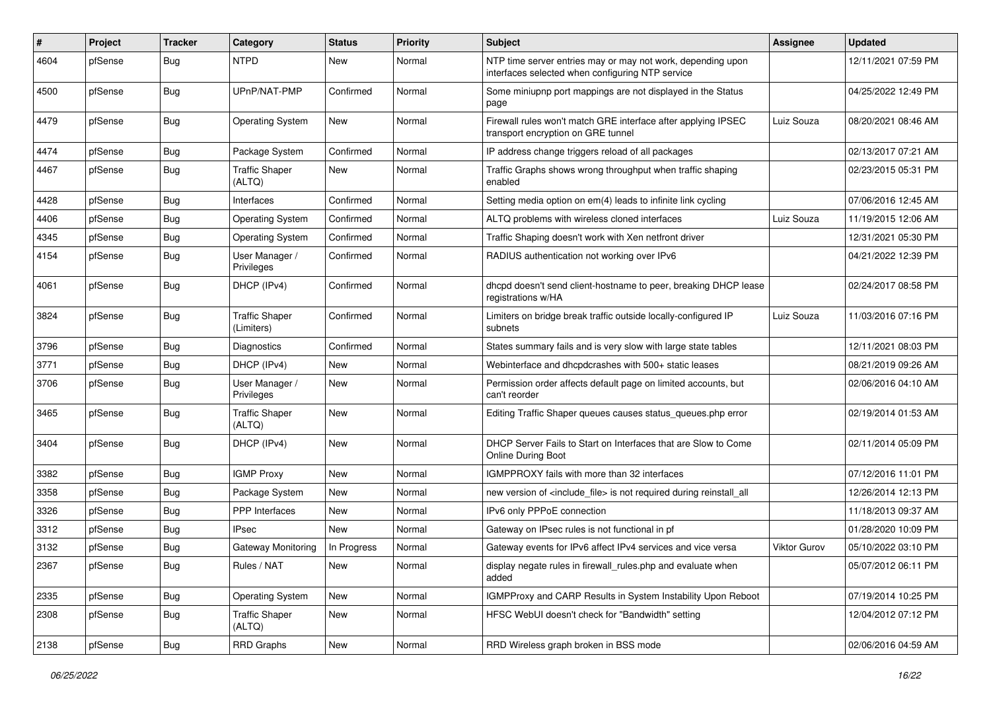| ∦    | Project | <b>Tracker</b> | Category                            | <b>Status</b> | <b>Priority</b> | <b>Subject</b>                                                                                                  | Assignee            | <b>Updated</b>      |
|------|---------|----------------|-------------------------------------|---------------|-----------------|-----------------------------------------------------------------------------------------------------------------|---------------------|---------------------|
| 4604 | pfSense | <b>Bug</b>     | <b>NTPD</b>                         | <b>New</b>    | Normal          | NTP time server entries may or may not work, depending upon<br>interfaces selected when configuring NTP service |                     | 12/11/2021 07:59 PM |
| 4500 | pfSense | Bug            | UPnP/NAT-PMP                        | Confirmed     | Normal          | Some miniupnp port mappings are not displayed in the Status<br>page                                             |                     | 04/25/2022 12:49 PM |
| 4479 | pfSense | Bug            | <b>Operating System</b>             | <b>New</b>    | Normal          | Firewall rules won't match GRE interface after applying IPSEC<br>transport encryption on GRE tunnel             | Luiz Souza          | 08/20/2021 08:46 AM |
| 4474 | pfSense | Bug            | Package System                      | Confirmed     | Normal          | IP address change triggers reload of all packages                                                               |                     | 02/13/2017 07:21 AM |
| 4467 | pfSense | Bug            | <b>Traffic Shaper</b><br>(ALTQ)     | <b>New</b>    | Normal          | Traffic Graphs shows wrong throughput when traffic shaping<br>enabled                                           |                     | 02/23/2015 05:31 PM |
| 4428 | pfSense | <b>Bug</b>     | Interfaces                          | Confirmed     | Normal          | Setting media option on em(4) leads to infinite link cycling                                                    |                     | 07/06/2016 12:45 AM |
| 4406 | pfSense | <b>Bug</b>     | <b>Operating System</b>             | Confirmed     | Normal          | ALTQ problems with wireless cloned interfaces                                                                   | Luiz Souza          | 11/19/2015 12:06 AM |
| 4345 | pfSense | <b>Bug</b>     | <b>Operating System</b>             | Confirmed     | Normal          | Traffic Shaping doesn't work with Xen netfront driver                                                           |                     | 12/31/2021 05:30 PM |
| 4154 | pfSense | Bug            | User Manager /<br>Privileges        | Confirmed     | Normal          | RADIUS authentication not working over IPv6                                                                     |                     | 04/21/2022 12:39 PM |
| 4061 | pfSense | Bug            | DHCP (IPv4)                         | Confirmed     | Normal          | dhcpd doesn't send client-hostname to peer, breaking DHCP lease<br>registrations w/HA                           |                     | 02/24/2017 08:58 PM |
| 3824 | pfSense | <b>Bug</b>     | <b>Traffic Shaper</b><br>(Limiters) | Confirmed     | Normal          | Limiters on bridge break traffic outside locally-configured IP<br>subnets                                       | Luiz Souza          | 11/03/2016 07:16 PM |
| 3796 | pfSense | Bug            | Diagnostics                         | Confirmed     | Normal          | States summary fails and is very slow with large state tables                                                   |                     | 12/11/2021 08:03 PM |
| 3771 | pfSense | <b>Bug</b>     | DHCP (IPv4)                         | <b>New</b>    | Normal          | Webinterface and dhcpdcrashes with 500+ static leases                                                           |                     | 08/21/2019 09:26 AM |
| 3706 | pfSense | Bug            | User Manager /<br>Privileges        | <b>New</b>    | Normal          | Permission order affects default page on limited accounts, but<br>can't reorder                                 |                     | 02/06/2016 04:10 AM |
| 3465 | pfSense | Bug            | <b>Traffic Shaper</b><br>(ALTQ)     | <b>New</b>    | Normal          | Editing Traffic Shaper queues causes status_queues.php error                                                    |                     | 02/19/2014 01:53 AM |
| 3404 | pfSense | Bug            | DHCP (IPv4)                         | <b>New</b>    | Normal          | DHCP Server Fails to Start on Interfaces that are Slow to Come<br><b>Online During Boot</b>                     |                     | 02/11/2014 05:09 PM |
| 3382 | pfSense | <b>Bug</b>     | <b>IGMP Proxy</b>                   | <b>New</b>    | Normal          | IGMPPROXY fails with more than 32 interfaces                                                                    |                     | 07/12/2016 11:01 PM |
| 3358 | pfSense | <b>Bug</b>     | Package System                      | <b>New</b>    | Normal          | new version of <include file=""> is not required during reinstall all</include>                                 |                     | 12/26/2014 12:13 PM |
| 3326 | pfSense | <b>Bug</b>     | <b>PPP</b> Interfaces               | <b>New</b>    | Normal          | IPv6 only PPPoE connection                                                                                      |                     | 11/18/2013 09:37 AM |
| 3312 | pfSense | <b>Bug</b>     | <b>IPsec</b>                        | New           | Normal          | Gateway on IPsec rules is not functional in pf                                                                  |                     | 01/28/2020 10:09 PM |
| 3132 | pfSense | <b>Bug</b>     | <b>Gateway Monitoring</b>           | In Progress   | Normal          | Gateway events for IPv6 affect IPv4 services and vice versa                                                     | <b>Viktor Gurov</b> | 05/10/2022 03:10 PM |
| 2367 | pfSense | Bug            | Rules / NAT                         | New           | Normal          | display negate rules in firewall_rules.php and evaluate when<br>added                                           |                     | 05/07/2012 06:11 PM |
| 2335 | pfSense | <b>Bug</b>     | <b>Operating System</b>             | New           | Normal          | IGMPProxy and CARP Results in System Instability Upon Reboot                                                    |                     | 07/19/2014 10:25 PM |
| 2308 | pfSense | Bug            | <b>Traffic Shaper</b><br>(ALTQ)     | New           | Normal          | HFSC WebUI doesn't check for "Bandwidth" setting                                                                |                     | 12/04/2012 07:12 PM |
| 2138 | pfSense | Bug            | RRD Graphs                          | New           | Normal          | RRD Wireless graph broken in BSS mode                                                                           |                     | 02/06/2016 04:59 AM |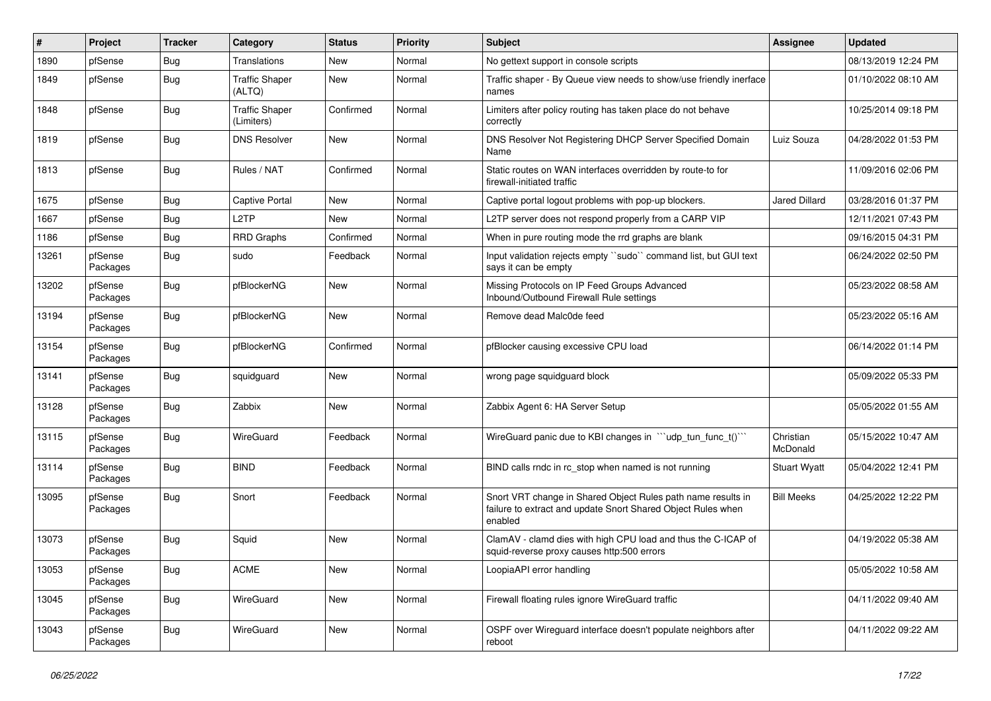| $\vert$ # | Project             | <b>Tracker</b> | Category                            | <b>Status</b> | <b>Priority</b> | <b>Subject</b>                                                                                                                          | <b>Assignee</b>              | <b>Updated</b>      |
|-----------|---------------------|----------------|-------------------------------------|---------------|-----------------|-----------------------------------------------------------------------------------------------------------------------------------------|------------------------------|---------------------|
| 1890      | pfSense             | Bug            | <b>Translations</b>                 | <b>New</b>    | Normal          | No gettext support in console scripts                                                                                                   |                              | 08/13/2019 12:24 PM |
| 1849      | pfSense             | <b>Bug</b>     | <b>Traffic Shaper</b><br>(ALTQ)     | <b>New</b>    | Normal          | Traffic shaper - By Queue view needs to show/use friendly inerface<br>names                                                             |                              | 01/10/2022 08:10 AM |
| 1848      | pfSense             | <b>Bug</b>     | <b>Traffic Shaper</b><br>(Limiters) | Confirmed     | Normal          | Limiters after policy routing has taken place do not behave<br>correctly                                                                |                              | 10/25/2014 09:18 PM |
| 1819      | pfSense             | Bug            | <b>DNS Resolver</b>                 | <b>New</b>    | Normal          | DNS Resolver Not Registering DHCP Server Specified Domain<br>Name                                                                       | Luiz Souza                   | 04/28/2022 01:53 PM |
| 1813      | pfSense             | <b>Bug</b>     | Rules / NAT                         | Confirmed     | Normal          | Static routes on WAN interfaces overridden by route-to for<br>firewall-initiated traffic                                                |                              | 11/09/2016 02:06 PM |
| 1675      | pfSense             | <b>Bug</b>     | <b>Captive Portal</b>               | <b>New</b>    | Normal          | Captive portal logout problems with pop-up blockers.                                                                                    | <b>Jared Dillard</b>         | 03/28/2016 01:37 PM |
| 1667      | pfSense             | Bug            | L <sub>2</sub> TP                   | <b>New</b>    | Normal          | L2TP server does not respond properly from a CARP VIP                                                                                   |                              | 12/11/2021 07:43 PM |
| 1186      | pfSense             | Bug            | <b>RRD Graphs</b>                   | Confirmed     | Normal          | When in pure routing mode the rrd graphs are blank                                                                                      |                              | 09/16/2015 04:31 PM |
| 13261     | pfSense<br>Packages | Bug            | sudo                                | Feedback      | Normal          | Input validation rejects empty "sudo" command list, but GUI text<br>says it can be empty                                                |                              | 06/24/2022 02:50 PM |
| 13202     | pfSense<br>Packages | Bug            | pfBlockerNG                         | <b>New</b>    | Normal          | Missing Protocols on IP Feed Groups Advanced<br>Inbound/Outbound Firewall Rule settings                                                 |                              | 05/23/2022 08:58 AM |
| 13194     | pfSense<br>Packages | <b>Bug</b>     | pfBlockerNG                         | <b>New</b>    | Normal          | Remove dead Malc0de feed                                                                                                                |                              | 05/23/2022 05:16 AM |
| 13154     | pfSense<br>Packages | Bug            | pfBlockerNG                         | Confirmed     | Normal          | pfBlocker causing excessive CPU load                                                                                                    |                              | 06/14/2022 01:14 PM |
| 13141     | pfSense<br>Packages | Bug            | squidguard                          | <b>New</b>    | Normal          | wrong page squidguard block                                                                                                             |                              | 05/09/2022 05:33 PM |
| 13128     | pfSense<br>Packages | Bug            | Zabbix                              | <b>New</b>    | Normal          | Zabbix Agent 6: HA Server Setup                                                                                                         |                              | 05/05/2022 01:55 AM |
| 13115     | pfSense<br>Packages | <b>Bug</b>     | <b>WireGuard</b>                    | Feedback      | Normal          | WireGuard panic due to KBI changes in "'udp_tun_func_t()'"                                                                              | Christian<br><b>McDonald</b> | 05/15/2022 10:47 AM |
| 13114     | pfSense<br>Packages | Bug            | <b>BIND</b>                         | Feedback      | Normal          | BIND calls rndc in rc_stop when named is not running                                                                                    | <b>Stuart Wyatt</b>          | 05/04/2022 12:41 PM |
| 13095     | pfSense<br>Packages | <b>Bug</b>     | Snort                               | Feedback      | Normal          | Snort VRT change in Shared Object Rules path name results in<br>failure to extract and update Snort Shared Object Rules when<br>enabled | <b>Bill Meeks</b>            | 04/25/2022 12:22 PM |
| 13073     | pfSense<br>Packages | <b>Bug</b>     | Squid                               | <b>New</b>    | Normal          | ClamAV - clamd dies with high CPU load and thus the C-ICAP of<br>squid-reverse proxy causes http:500 errors                             |                              | 04/19/2022 05:38 AM |
| 13053     | pfSense<br>Packages | <b>Bug</b>     | <b>ACME</b>                         | New           | Normal          | LoopiaAPI error handling                                                                                                                |                              | 05/05/2022 10:58 AM |
| 13045     | pfSense<br>Packages | Bug            | WireGuard                           | New           | Normal          | Firewall floating rules ignore WireGuard traffic                                                                                        |                              | 04/11/2022 09:40 AM |
| 13043     | pfSense<br>Packages | Bug            | <b>WireGuard</b>                    | <b>New</b>    | Normal          | OSPF over Wireguard interface doesn't populate neighbors after<br>reboot                                                                |                              | 04/11/2022 09:22 AM |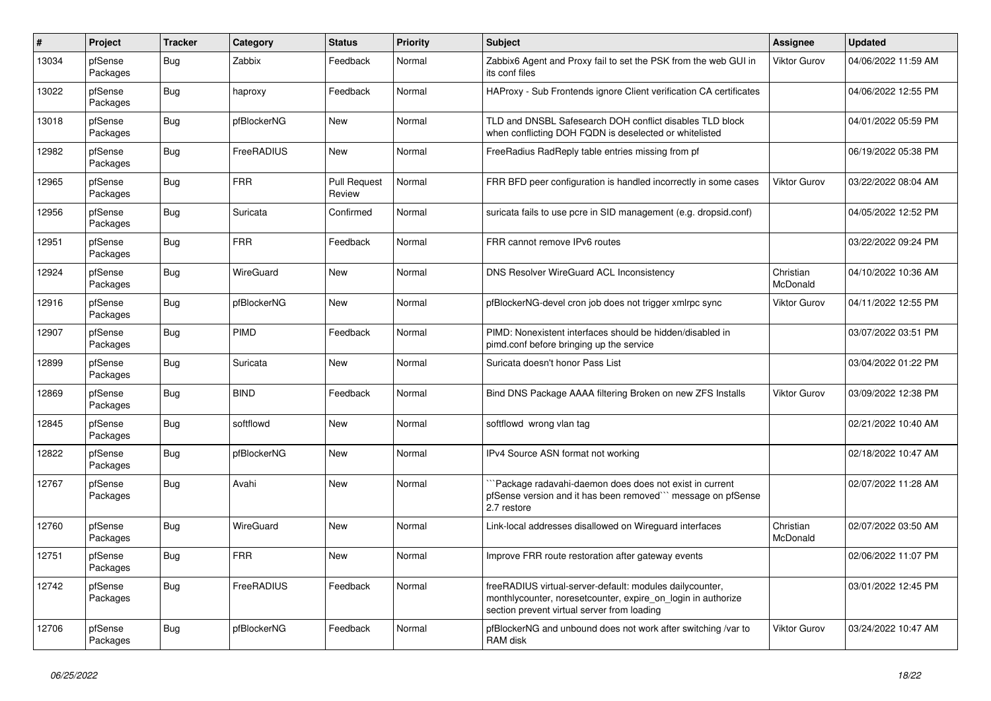| $\sharp$ | Project             | <b>Tracker</b> | Category    | <b>Status</b>                 | <b>Priority</b> | <b>Subject</b>                                                                                                                                                          | <b>Assignee</b>       | <b>Updated</b>      |
|----------|---------------------|----------------|-------------|-------------------------------|-----------------|-------------------------------------------------------------------------------------------------------------------------------------------------------------------------|-----------------------|---------------------|
| 13034    | pfSense<br>Packages | <b>Bug</b>     | Zabbix      | Feedback                      | Normal          | Zabbix6 Agent and Proxy fail to set the PSK from the web GUI in<br>its conf files                                                                                       | <b>Viktor Gurov</b>   | 04/06/2022 11:59 AM |
| 13022    | pfSense<br>Packages | Bug            | haproxy     | Feedback                      | Normal          | HAProxy - Sub Frontends ignore Client verification CA certificates                                                                                                      |                       | 04/06/2022 12:55 PM |
| 13018    | pfSense<br>Packages | Bug            | pfBlockerNG | <b>New</b>                    | Normal          | TLD and DNSBL Safesearch DOH conflict disables TLD block<br>when conflicting DOH FQDN is deselected or whitelisted                                                      |                       | 04/01/2022 05:59 PM |
| 12982    | pfSense<br>Packages | <b>Bug</b>     | FreeRADIUS  | New                           | Normal          | FreeRadius RadReply table entries missing from pf                                                                                                                       |                       | 06/19/2022 05:38 PM |
| 12965    | pfSense<br>Packages | <b>Bug</b>     | <b>FRR</b>  | <b>Pull Request</b><br>Review | Normal          | FRR BFD peer configuration is handled incorrectly in some cases                                                                                                         | <b>Viktor Gurov</b>   | 03/22/2022 08:04 AM |
| 12956    | pfSense<br>Packages | Bug            | Suricata    | Confirmed                     | Normal          | suricata fails to use pcre in SID management (e.g. dropsid.conf)                                                                                                        |                       | 04/05/2022 12:52 PM |
| 12951    | pfSense<br>Packages | Bug            | <b>FRR</b>  | Feedback                      | Normal          | FRR cannot remove IPv6 routes                                                                                                                                           |                       | 03/22/2022 09:24 PM |
| 12924    | pfSense<br>Packages | Bug            | WireGuard   | <b>New</b>                    | Normal          | <b>DNS Resolver WireGuard ACL Inconsistency</b>                                                                                                                         | Christian<br>McDonald | 04/10/2022 10:36 AM |
| 12916    | pfSense<br>Packages | Bug            | pfBlockerNG | <b>New</b>                    | Normal          | pfBlockerNG-devel cron job does not trigger xmlrpc sync                                                                                                                 | <b>Viktor Gurov</b>   | 04/11/2022 12:55 PM |
| 12907    | pfSense<br>Packages | Bug            | PIMD        | Feedback                      | Normal          | PIMD: Nonexistent interfaces should be hidden/disabled in<br>pimd.conf before bringing up the service                                                                   |                       | 03/07/2022 03:51 PM |
| 12899    | pfSense<br>Packages | Bug            | Suricata    | New                           | Normal          | Suricata doesn't honor Pass List                                                                                                                                        |                       | 03/04/2022 01:22 PM |
| 12869    | pfSense<br>Packages | Bug            | <b>BIND</b> | Feedback                      | Normal          | Bind DNS Package AAAA filtering Broken on new ZFS Installs                                                                                                              | <b>Viktor Gurov</b>   | 03/09/2022 12:38 PM |
| 12845    | pfSense<br>Packages | Bug            | softflowd   | <b>New</b>                    | Normal          | softflowd wrong vlan tag                                                                                                                                                |                       | 02/21/2022 10:40 AM |
| 12822    | pfSense<br>Packages | <b>Bug</b>     | pfBlockerNG | New                           | Normal          | IPv4 Source ASN format not working                                                                                                                                      |                       | 02/18/2022 10:47 AM |
| 12767    | pfSense<br>Packages | Bug            | Avahi       | <b>New</b>                    | Normal          | `Package radavahi-daemon does does not exist in current<br>pfSense version and it has been removed``` message on pfSense<br>2.7 restore                                 |                       | 02/07/2022 11:28 AM |
| 12760    | pfSense<br>Packages | Bug            | WireGuard   | <b>New</b>                    | Normal          | Link-local addresses disallowed on Wireguard interfaces                                                                                                                 | Christian<br>McDonald | 02/07/2022 03:50 AM |
| 12751    | pfSense<br>Packages | Bug            | <b>FRR</b>  | New                           | Normal          | Improve FRR route restoration after gateway events                                                                                                                      |                       | 02/06/2022 11:07 PM |
| 12742    | pfSense<br>Packages | Bug            | FreeRADIUS  | Feedback                      | Normal          | freeRADIUS virtual-server-default: modules dailycounter,<br>monthlycounter, noresetcounter, expire_on_login in authorize<br>section prevent virtual server from loading |                       | 03/01/2022 12:45 PM |
| 12706    | pfSense<br>Packages | Bug            | pfBlockerNG | Feedback                      | Normal          | pfBlockerNG and unbound does not work after switching /var to<br>RAM disk                                                                                               | <b>Viktor Gurov</b>   | 03/24/2022 10:47 AM |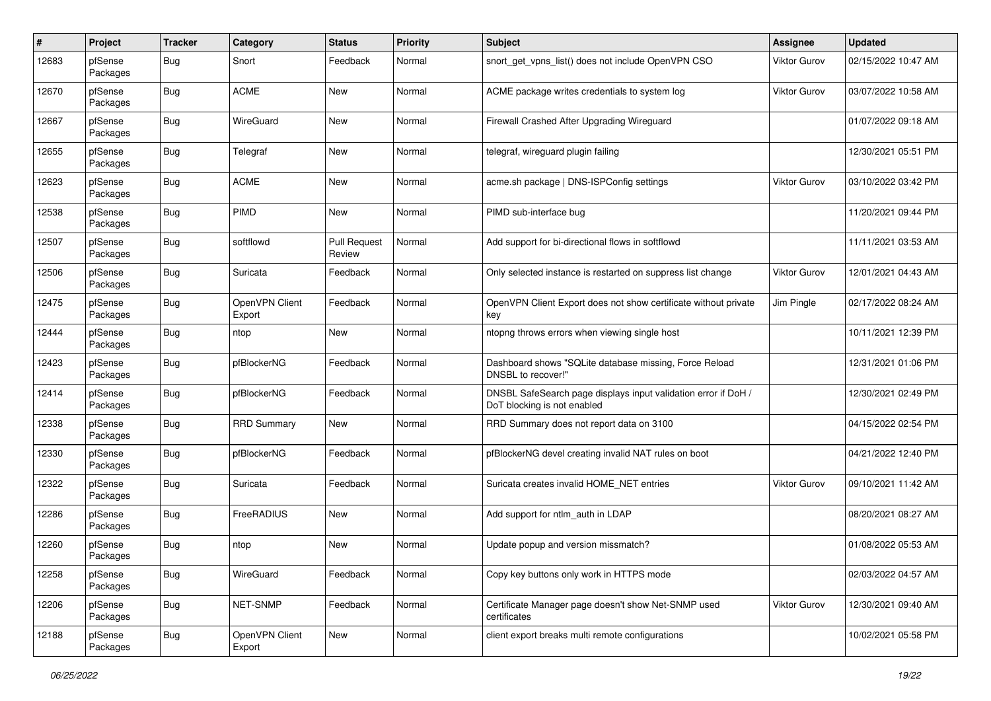| #     | Project             | <b>Tracker</b> | Category                 | <b>Status</b>                 | <b>Priority</b> | <b>Subject</b>                                                                                | Assignee            | <b>Updated</b>      |
|-------|---------------------|----------------|--------------------------|-------------------------------|-----------------|-----------------------------------------------------------------------------------------------|---------------------|---------------------|
| 12683 | pfSense<br>Packages | Bug            | Snort                    | Feedback                      | Normal          | snort get vpns list() does not include OpenVPN CSO                                            | Viktor Gurov        | 02/15/2022 10:47 AM |
| 12670 | pfSense<br>Packages | Bug            | <b>ACME</b>              | New                           | Normal          | ACME package writes credentials to system log                                                 | Viktor Gurov        | 03/07/2022 10:58 AM |
| 12667 | pfSense<br>Packages | Bug            | WireGuard                | <b>New</b>                    | Normal          | Firewall Crashed After Upgrading Wireguard                                                    |                     | 01/07/2022 09:18 AM |
| 12655 | pfSense<br>Packages | Bug            | Telegraf                 | New                           | Normal          | telegraf, wireguard plugin failing                                                            |                     | 12/30/2021 05:51 PM |
| 12623 | pfSense<br>Packages | Bug            | <b>ACME</b>              | New                           | Normal          | acme.sh package   DNS-ISPConfig settings                                                      | <b>Viktor Gurov</b> | 03/10/2022 03:42 PM |
| 12538 | pfSense<br>Packages | <b>Bug</b>     | PIMD                     | New                           | Normal          | PIMD sub-interface bug                                                                        |                     | 11/20/2021 09:44 PM |
| 12507 | pfSense<br>Packages | Bug            | softflowd                | <b>Pull Request</b><br>Review | Normal          | Add support for bi-directional flows in softflowd                                             |                     | 11/11/2021 03:53 AM |
| 12506 | pfSense<br>Packages | Bug            | Suricata                 | Feedback                      | Normal          | Only selected instance is restarted on suppress list change                                   | <b>Viktor Gurov</b> | 12/01/2021 04:43 AM |
| 12475 | pfSense<br>Packages | Bug            | OpenVPN Client<br>Export | Feedback                      | Normal          | OpenVPN Client Export does not show certificate without private<br>key                        | Jim Pingle          | 02/17/2022 08:24 AM |
| 12444 | pfSense<br>Packages | Bug            | ntop                     | <b>New</b>                    | Normal          | ntopng throws errors when viewing single host                                                 |                     | 10/11/2021 12:39 PM |
| 12423 | pfSense<br>Packages | Bug            | pfBlockerNG              | Feedback                      | Normal          | Dashboard shows "SQLite database missing, Force Reload<br>DNSBL to recover!"                  |                     | 12/31/2021 01:06 PM |
| 12414 | pfSense<br>Packages | Bug            | pfBlockerNG              | Feedback                      | Normal          | DNSBL SafeSearch page displays input validation error if DoH /<br>DoT blocking is not enabled |                     | 12/30/2021 02:49 PM |
| 12338 | pfSense<br>Packages | Bug            | <b>RRD Summary</b>       | New                           | Normal          | RRD Summary does not report data on 3100                                                      |                     | 04/15/2022 02:54 PM |
| 12330 | pfSense<br>Packages | <b>Bug</b>     | pfBlockerNG              | Feedback                      | Normal          | pfBlockerNG devel creating invalid NAT rules on boot                                          |                     | 04/21/2022 12:40 PM |
| 12322 | pfSense<br>Packages | Bug            | Suricata                 | Feedback                      | Normal          | Suricata creates invalid HOME_NET entries                                                     | <b>Viktor Gurov</b> | 09/10/2021 11:42 AM |
| 12286 | pfSense<br>Packages | Bug            | FreeRADIUS               | New                           | Normal          | Add support for ntlm auth in LDAP                                                             |                     | 08/20/2021 08:27 AM |
| 12260 | pfSense<br>Packages | <b>Bug</b>     | ntop                     | <b>New</b>                    | Normal          | Update popup and version missmatch?                                                           |                     | 01/08/2022 05:53 AM |
| 12258 | pfSense<br>Packages | Bug            | WireGuard                | Feedback                      | Normal          | Copy key buttons only work in HTTPS mode                                                      |                     | 02/03/2022 04:57 AM |
| 12206 | pfSense<br>Packages | <b>Bug</b>     | NET-SNMP                 | Feedback                      | Normal          | Certificate Manager page doesn't show Net-SNMP used<br>certificates                           | Viktor Gurov        | 12/30/2021 09:40 AM |
| 12188 | pfSense<br>Packages | Bug            | OpenVPN Client<br>Export | New                           | Normal          | client export breaks multi remote configurations                                              |                     | 10/02/2021 05:58 PM |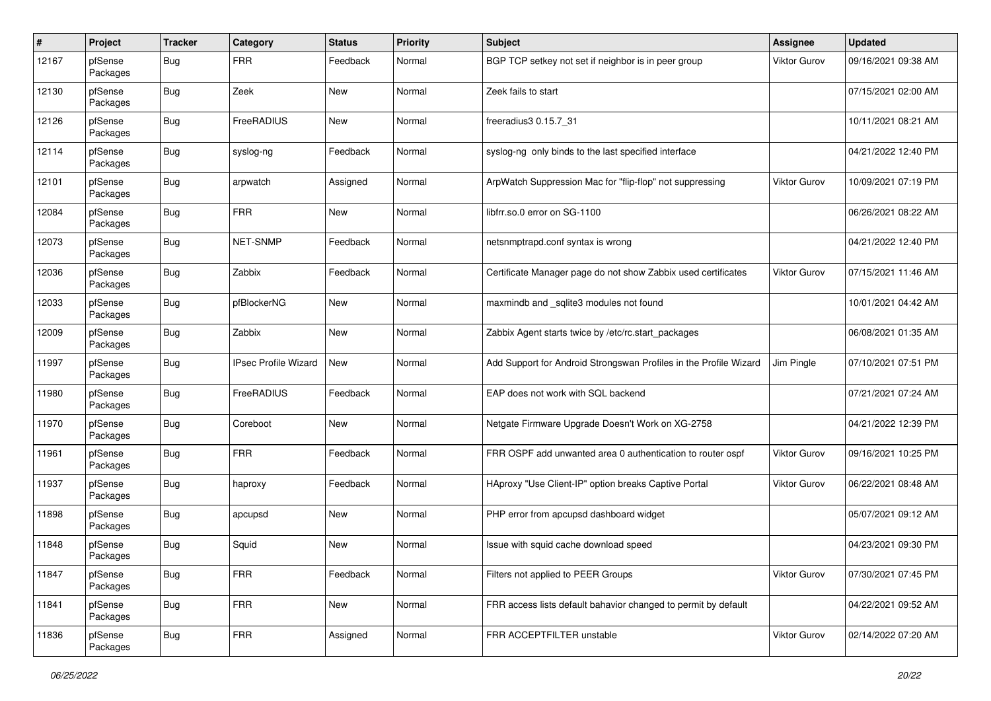| #     | Project             | <b>Tracker</b> | Category                    | <b>Status</b> | <b>Priority</b> | <b>Subject</b>                                                    | Assignee            | <b>Updated</b>      |
|-------|---------------------|----------------|-----------------------------|---------------|-----------------|-------------------------------------------------------------------|---------------------|---------------------|
| 12167 | pfSense<br>Packages | Bug            | <b>FRR</b>                  | Feedback      | Normal          | BGP TCP setkey not set if neighbor is in peer group               | Viktor Gurov        | 09/16/2021 09:38 AM |
| 12130 | pfSense<br>Packages | <b>Bug</b>     | Zeek                        | New           | Normal          | Zeek fails to start                                               |                     | 07/15/2021 02:00 AM |
| 12126 | pfSense<br>Packages | <b>Bug</b>     | FreeRADIUS                  | <b>New</b>    | Normal          | freeradius3 0.15.7_31                                             |                     | 10/11/2021 08:21 AM |
| 12114 | pfSense<br>Packages | <b>Bug</b>     | syslog-ng                   | Feedback      | Normal          | syslog-ng only binds to the last specified interface              |                     | 04/21/2022 12:40 PM |
| 12101 | pfSense<br>Packages | <b>Bug</b>     | arpwatch                    | Assigned      | Normal          | ArpWatch Suppression Mac for "flip-flop" not suppressing          | <b>Viktor Gurov</b> | 10/09/2021 07:19 PM |
| 12084 | pfSense<br>Packages | Bug            | <b>FRR</b>                  | New           | Normal          | libfrr.so.0 error on SG-1100                                      |                     | 06/26/2021 08:22 AM |
| 12073 | pfSense<br>Packages | <b>Bug</b>     | NET-SNMP                    | Feedback      | Normal          | netsnmptrapd.conf syntax is wrong                                 |                     | 04/21/2022 12:40 PM |
| 12036 | pfSense<br>Packages | <b>Bug</b>     | Zabbix                      | Feedback      | Normal          | Certificate Manager page do not show Zabbix used certificates     | Viktor Gurov        | 07/15/2021 11:46 AM |
| 12033 | pfSense<br>Packages | <b>Bug</b>     | pfBlockerNG                 | <b>New</b>    | Normal          | maxmindb and _sqlite3 modules not found                           |                     | 10/01/2021 04:42 AM |
| 12009 | pfSense<br>Packages | <b>Bug</b>     | Zabbix                      | <b>New</b>    | Normal          | Zabbix Agent starts twice by /etc/rc.start_packages               |                     | 06/08/2021 01:35 AM |
| 11997 | pfSense<br>Packages | <b>Bug</b>     | <b>IPsec Profile Wizard</b> | <b>New</b>    | Normal          | Add Support for Android Strongswan Profiles in the Profile Wizard | Jim Pingle          | 07/10/2021 07:51 PM |
| 11980 | pfSense<br>Packages | <b>Bug</b>     | FreeRADIUS                  | Feedback      | Normal          | EAP does not work with SQL backend                                |                     | 07/21/2021 07:24 AM |
| 11970 | pfSense<br>Packages | <b>Bug</b>     | Coreboot                    | New           | Normal          | Netgate Firmware Upgrade Doesn't Work on XG-2758                  |                     | 04/21/2022 12:39 PM |
| 11961 | pfSense<br>Packages | <b>Bug</b>     | <b>FRR</b>                  | Feedback      | Normal          | FRR OSPF add unwanted area 0 authentication to router ospf        | Viktor Gurov        | 09/16/2021 10:25 PM |
| 11937 | pfSense<br>Packages | <b>Bug</b>     | haproxy                     | Feedback      | Normal          | HAproxy "Use Client-IP" option breaks Captive Portal              | Viktor Gurov        | 06/22/2021 08:48 AM |
| 11898 | pfSense<br>Packages | <b>Bug</b>     | apcupsd                     | New           | Normal          | PHP error from apcupsd dashboard widget                           |                     | 05/07/2021 09:12 AM |
| 11848 | pfSense<br>Packages | <b>Bug</b>     | Squid                       | <b>New</b>    | Normal          | Issue with squid cache download speed                             |                     | 04/23/2021 09:30 PM |
| 11847 | pfSense<br>Packages | <b>Bug</b>     | <b>FRR</b>                  | Feedback      | Normal          | Filters not applied to PEER Groups                                | Viktor Gurov        | 07/30/2021 07:45 PM |
| 11841 | pfSense<br>Packages | <b>Bug</b>     | <b>FRR</b>                  | <b>New</b>    | Normal          | FRR access lists default bahavior changed to permit by default    |                     | 04/22/2021 09:52 AM |
| 11836 | pfSense<br>Packages | <b>Bug</b>     | <b>FRR</b>                  | Assigned      | Normal          | FRR ACCEPTFILTER unstable                                         | Viktor Gurov        | 02/14/2022 07:20 AM |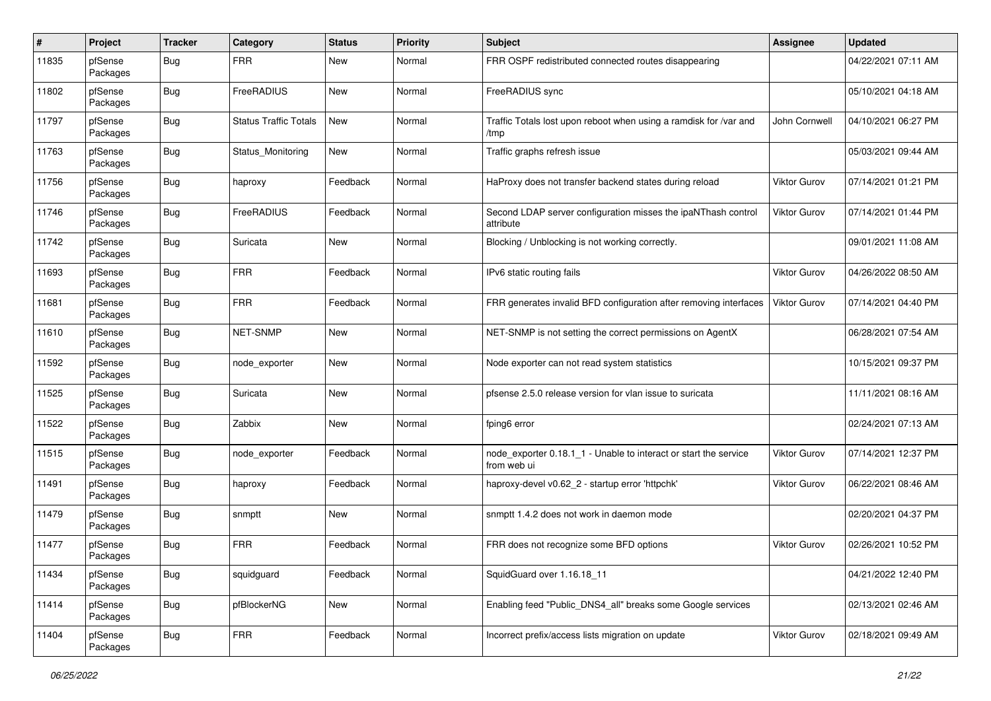| $\pmb{\#}$ | Project             | <b>Tracker</b> | Category                     | <b>Status</b> | Priority | Subject                                                                         | Assignee            | <b>Updated</b>      |
|------------|---------------------|----------------|------------------------------|---------------|----------|---------------------------------------------------------------------------------|---------------------|---------------------|
| 11835      | pfSense<br>Packages | <b>Bug</b>     | <b>FRR</b>                   | New           | Normal   | FRR OSPF redistributed connected routes disappearing                            |                     | 04/22/2021 07:11 AM |
| 11802      | pfSense<br>Packages | Bug            | FreeRADIUS                   | New           | Normal   | FreeRADIUS sync                                                                 |                     | 05/10/2021 04:18 AM |
| 11797      | pfSense<br>Packages | Bug            | <b>Status Traffic Totals</b> | New           | Normal   | Traffic Totals lost upon reboot when using a ramdisk for /var and<br>/tmp       | John Cornwell       | 04/10/2021 06:27 PM |
| 11763      | pfSense<br>Packages | Bug            | Status_Monitoring            | <b>New</b>    | Normal   | Traffic graphs refresh issue                                                    |                     | 05/03/2021 09:44 AM |
| 11756      | pfSense<br>Packages | Bug            | haproxy                      | Feedback      | Normal   | HaProxy does not transfer backend states during reload                          | Viktor Gurov        | 07/14/2021 01:21 PM |
| 11746      | pfSense<br>Packages | Bug            | FreeRADIUS                   | Feedback      | Normal   | Second LDAP server configuration misses the ipaNThash control<br>attribute      | Viktor Gurov        | 07/14/2021 01:44 PM |
| 11742      | pfSense<br>Packages | Bug            | Suricata                     | New           | Normal   | Blocking / Unblocking is not working correctly.                                 |                     | 09/01/2021 11:08 AM |
| 11693      | pfSense<br>Packages | Bug            | <b>FRR</b>                   | Feedback      | Normal   | IPv6 static routing fails                                                       | Viktor Gurov        | 04/26/2022 08:50 AM |
| 11681      | pfSense<br>Packages | Bug            | <b>FRR</b>                   | Feedback      | Normal   | FRR generates invalid BFD configuration after removing interfaces               | <b>Viktor Gurov</b> | 07/14/2021 04:40 PM |
| 11610      | pfSense<br>Packages | Bug            | NET-SNMP                     | <b>New</b>    | Normal   | NET-SNMP is not setting the correct permissions on AgentX                       |                     | 06/28/2021 07:54 AM |
| 11592      | pfSense<br>Packages | Bug            | node_exporter                | New           | Normal   | Node exporter can not read system statistics                                    |                     | 10/15/2021 09:37 PM |
| 11525      | pfSense<br>Packages | Bug            | Suricata                     | <b>New</b>    | Normal   | pfsense 2.5.0 release version for vlan issue to suricata                        |                     | 11/11/2021 08:16 AM |
| 11522      | pfSense<br>Packages | Bug            | Zabbix                       | New           | Normal   | fping6 error                                                                    |                     | 02/24/2021 07:13 AM |
| 11515      | pfSense<br>Packages | Bug            | node exporter                | Feedback      | Normal   | node exporter 0.18.1 1 - Unable to interact or start the service<br>from web ui | Viktor Gurov        | 07/14/2021 12:37 PM |
| 11491      | pfSense<br>Packages | Bug            | haproxy                      | Feedback      | Normal   | haproxy-devel v0.62_2 - startup error 'httpchk'                                 | <b>Viktor Gurov</b> | 06/22/2021 08:46 AM |
| 11479      | pfSense<br>Packages | Bug            | snmptt                       | New           | Normal   | snmptt 1.4.2 does not work in daemon mode                                       |                     | 02/20/2021 04:37 PM |
| 11477      | pfSense<br>Packages | Bug            | <b>FRR</b>                   | Feedback      | Normal   | FRR does not recognize some BFD options                                         | Viktor Gurov        | 02/26/2021 10:52 PM |
| 11434      | pfSense<br>Packages | Bug            | squidguard                   | Feedback      | Normal   | SquidGuard over 1.16.18 11                                                      |                     | 04/21/2022 12:40 PM |
| 11414      | pfSense<br>Packages | Bug            | pfBlockerNG                  | New           | Normal   | Enabling feed "Public_DNS4_all" breaks some Google services                     |                     | 02/13/2021 02:46 AM |
| 11404      | pfSense<br>Packages | <b>Bug</b>     | <b>FRR</b>                   | Feedback      | Normal   | Incorrect prefix/access lists migration on update                               | Viktor Gurov        | 02/18/2021 09:49 AM |